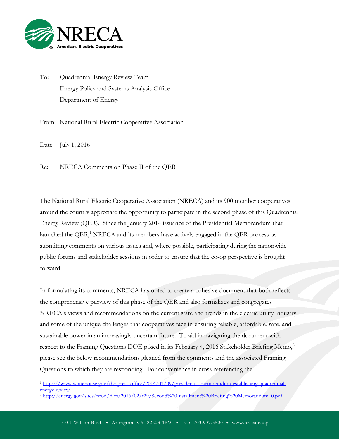

To: Quadrennial Energy Review Team Energy Policy and Systems Analysis Office Department of Energy

From: National Rural Electric Cooperative Association

Date: July 1, 2016

 $\overline{a}$ 

Re: NRECA Comments on Phase II of the QER

The National Rural Electric Cooperative Association (NRECA) and its 900 member cooperatives around the country appreciate the opportunity to participate in the second phase of this Quadrennial Energy Review (QER). Since the January 2014 issuance of the Presidential Memorandum that launched the QER, $<sup>1</sup>$  NRECA and its members have actively engaged in the QER process by</sup> submitting comments on various issues and, where possible, participating during the nationwide public forums and stakeholder sessions in order to ensure that the co-op perspective is brought forward.

In formulating its comments, NRECA has opted to create a cohesive document that both reflects the comprehensive purview of this phase of the QER and also formalizes and congregates NRECA's views and recommendations on the current state and trends in the electric utility industry and some of the unique challenges that cooperatives face in ensuring reliable, affordable, safe, and sustainable power in an increasingly uncertain future. To aid in navigating the document with respect to the Framing Questions DOE posed in its February 4, 2016 Stakeholder Briefing Memo,<sup>2</sup> please see the below recommendations gleaned from the comments and the associated Framing Questions to which they are responding. For convenience in cross-referencing the

<sup>1</sup> [https://www.whitehouse.gov/the-press-office/2014/01/09/presidential-memorandum-establishing-quadrennial](https://www.whitehouse.gov/the-press-office/2014/01/09/presidential-memorandum-establishing-quadrennial-energy-review)[energy-review](https://www.whitehouse.gov/the-press-office/2014/01/09/presidential-memorandum-establishing-quadrennial-energy-review)

<sup>2</sup> [http://energy.gov/sites/prod/files/2016/02/f29/Second%20Installment%20Briefing%20Memorandum\\_0.pdf](http://energy.gov/sites/prod/files/2016/02/f29/Second%20Installment%20Briefing%20Memorandum_0.pdf)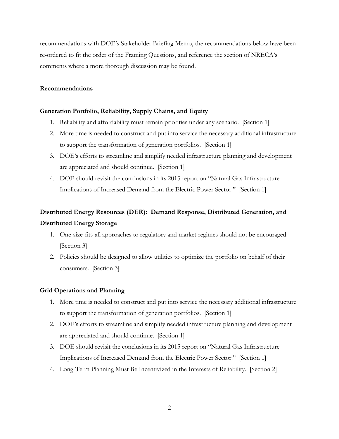recommendations with DOE's Stakeholder Briefing Memo, the recommendations below have been re-ordered to fit the order of the Framing Questions, and reference the section of NRECA's comments where a more thorough discussion may be found.

#### **Recommendations**

#### **Generation Portfolio, Reliability, Supply Chains, and Equity**

- 1. Reliability and affordability must remain priorities under any scenario. [Section 1]
- 2. More time is needed to construct and put into service the necessary additional infrastructure to support the transformation of generation portfolios. [Section 1]
- 3. DOE's efforts to streamline and simplify needed infrastructure planning and development are appreciated and should continue. [Section 1]
- 4. DOE should revisit the conclusions in its 2015 report on "Natural Gas Infrastructure Implications of Increased Demand from the Electric Power Sector." [Section 1]

# **Distributed Energy Resources (DER): Demand Response, Distributed Generation, and Distributed Energy Storage**

- 1. One-size-fits-all approaches to regulatory and market regimes should not be encouraged. [Section 3]
- 2. Policies should be designed to allow utilities to optimize the portfolio on behalf of their consumers. [Section 3]

#### **Grid Operations and Planning**

- 1. More time is needed to construct and put into service the necessary additional infrastructure to support the transformation of generation portfolios. [Section 1]
- 2. DOE's efforts to streamline and simplify needed infrastructure planning and development are appreciated and should continue. [Section 1]
- 3. DOE should revisit the conclusions in its 2015 report on "Natural Gas Infrastructure Implications of Increased Demand from the Electric Power Sector." [Section 1]
- 4. Long-Term Planning Must Be Incentivized in the Interests of Reliability. [Section 2]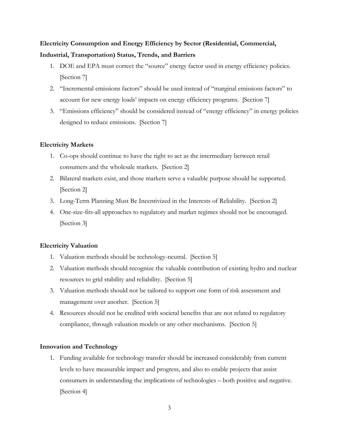# **Electricity Consumption and Energy Efficiency by Sector (Residential, Commercial, Industrial, Transportation) Status, Trends, and Barriers**

- 1. DOE and EPA must correct the "source" energy factor used in energy efficiency policies. [Section 7]
- 2. "Incremental emissions factors" should be used instead of "marginal emissions factors" to account for new energy loads' impacts on energy efficiency programs. [Section 7]
- 3. "Emissions efficiency" should be considered instead of "energy efficiency" in energy policies designed to reduce emissions. [Section 7]

#### **Electricity Markets**

- 1. Co-ops should continue to have the right to act as the intermediary between retail consumers and the wholesale markets. [Section 2]
- 2. Bilateral markets exist, and those markets serve a valuable purpose should be supported. [Section 2]
- 3. Long-Term Planning Must Be Incentivized in the Interests of Reliability. [Section 2]
- 4. One-size-fits-all approaches to regulatory and market regimes should not be encouraged. [Section 3]

### **Electricity Valuation**

- 1. Valuation methods should be technology-neutral. [Section 5]
- 2. Valuation methods should recognize the valuable contribution of existing hydro and nuclear resources to grid stability and reliability. [Section 5]
- 3. Valuation methods should not be tailored to support one form of risk assessment and management over another. [Section 5]
- 4. Resources should not be credited with societal benefits that are not related to regulatory compliance, through valuation models or any other mechanisms. [Section 5]

#### **Innovation and Technology**

1. Funding available for technology transfer should be increased considerably from current levels to have measurable impact and progress, and also to enable projects that assist consumers in understanding the implications of technologies – both positive and negative. [Section 4]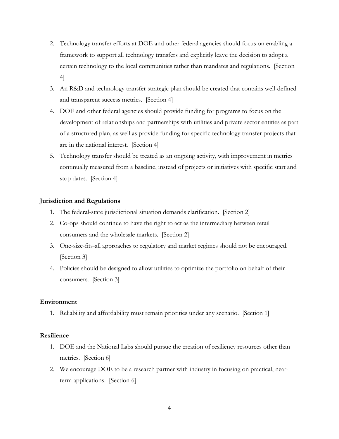- 2. Technology transfer efforts at DOE and other federal agencies should focus on enabling a framework to support all technology transfers and explicitly leave the decision to adopt a certain technology to the local communities rather than mandates and regulations. [Section 4]
- 3. An R&D and technology transfer strategic plan should be created that contains well-defined and transparent success metrics. [Section 4]
- 4. DOE and other federal agencies should provide funding for programs to focus on the development of relationships and partnerships with utilities and private sector entities as part of a structured plan, as well as provide funding for specific technology transfer projects that are in the national interest. [Section 4]
- 5. Technology transfer should be treated as an ongoing activity, with improvement in metrics continually measured from a baseline, instead of projects or initiatives with specific start and stop dates. [Section 4]

#### **Jurisdiction and Regulations**

- 1. The federal-state jurisdictional situation demands clarification. [Section 2]
- 2. Co-ops should continue to have the right to act as the intermediary between retail consumers and the wholesale markets. [Section 2]
- 3. One-size-fits-all approaches to regulatory and market regimes should not be encouraged. [Section 3]
- 4. Policies should be designed to allow utilities to optimize the portfolio on behalf of their consumers. [Section 3]

#### **Environment**

1. Reliability and affordability must remain priorities under any scenario. [Section 1]

#### **Resilience**

- 1. DOE and the National Labs should pursue the creation of resiliency resources other than metrics. [Section 6]
- 2. We encourage DOE to be a research partner with industry in focusing on practical, nearterm applications. [Section 6]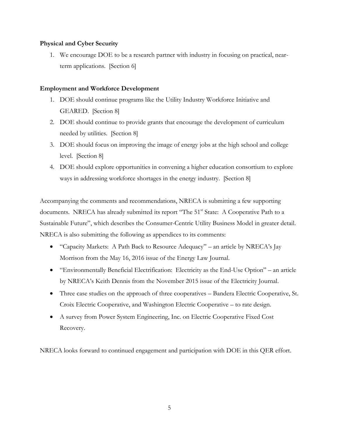#### **Physical and Cyber Security**

1. We encourage DOE to be a research partner with industry in focusing on practical, nearterm applications. [Section 6]

#### **Employment and Workforce Development**

- 1. DOE should continue programs like the Utility Industry Workforce Initiative and GEARED. [Section 8]
- 2. DOE should continue to provide grants that encourage the development of curriculum needed by utilities. [Section 8]
- 3. DOE should focus on improving the image of energy jobs at the high school and college level. [Section 8]
- 4. DOE should explore opportunities in convening a higher education consortium to explore ways in addressing workforce shortages in the energy industry. [Section 8]

Accompanying the comments and recommendations, NRECA is submitting a few supporting documents. NRECA has already submitted its report "The 51<sup>st</sup> State: A Cooperative Path to a Sustainable Future", which describes the Consumer-Centric Utility Business Model in greater detail. NRECA is also submitting the following as appendices to its comments:

- "Capacity Markets: A Path Back to Resource Adequacy" an article by NRECA's Jay Morrison from the May 16, 2016 issue of the Energy Law Journal.
- "Environmentally Beneficial Electrification: Electricity as the End-Use Option" an article by NRECA's Keith Dennis from the November 2015 issue of the Electricity Journal.
- Three case studies on the approach of three cooperatives Bandera Electric Cooperative, St. Croix Electric Cooperative, and Washington Electric Cooperative – to rate design.
- A survey from Power System Engineering, Inc. on Electric Cooperative Fixed Cost Recovery.

NRECA looks forward to continued engagement and participation with DOE in this QER effort.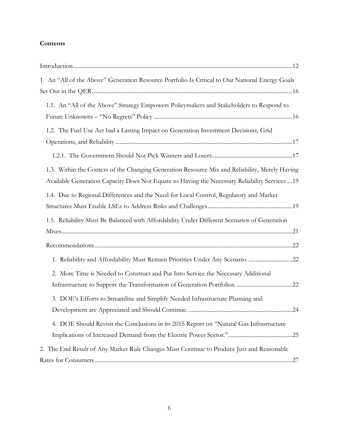### **Contents**

| 1. An "All of the Above" Generation Resource Portfolio Is Critical to Our National Energy Goals |
|-------------------------------------------------------------------------------------------------|
|                                                                                                 |
| 1.1. An "All of the Above" Strategy Empowers Policymakers and Stakeholders to Respond to        |
|                                                                                                 |
| 1.2. The Fuel Use Act had a Lasting Impact on Generation Investment Decisions, Grid             |
|                                                                                                 |
|                                                                                                 |
| 1.3. Within the Context of the Changing Generation Resource Mix and Reliability, Merely Having  |
| Available Generation Capacity Does Not Equate to Having the Necessary Reliability Services19    |
| 1.4. Due to Regional Differences and the Need for Local Control, Regulatory and Market          |
|                                                                                                 |
| 1.5. Reliability Must Be Balanced with Affordability Under Different Scenarios of Generation    |
|                                                                                                 |
|                                                                                                 |
| 1. Reliability and Affordability Must Remain Priorities Under Any Scenario. 22                  |
| 2. More Time is Needed to Construct and Put Into Service the Necessary Additional               |
|                                                                                                 |
| 3. DOE's Efforts to Streamline and Simplify Needed Infrastructure Planning and                  |
| 24                                                                                              |
| 4. DOE Should Revisit the Conclusions in its 2015 Report on "Natural Gas Infrastructure         |
|                                                                                                 |
| 2. The End Result of Any Market Rule Changes Must Continue to Produce Just and Reasonable       |
|                                                                                                 |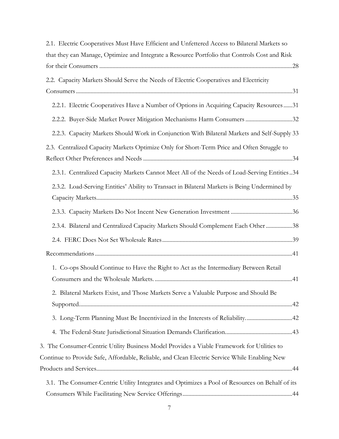| 2.1. Electric Cooperatives Must Have Efficient and Unfettered Access to Bilateral Markets so                                                                                                 |
|----------------------------------------------------------------------------------------------------------------------------------------------------------------------------------------------|
| that they can Manage, Optimize and Integrate a Resource Portfolio that Controls Cost and Risk                                                                                                |
|                                                                                                                                                                                              |
| 2.2. Capacity Markets Should Serve the Needs of Electric Cooperatives and Electricity                                                                                                        |
|                                                                                                                                                                                              |
| 2.2.1. Electric Cooperatives Have a Number of Options in Acquiring Capacity Resources31                                                                                                      |
| 2.2.2. Buyer-Side Market Power Mitigation Mechanisms Harm Consumers 32                                                                                                                       |
| 2.2.3. Capacity Markets Should Work in Conjunction With Bilateral Markets and Self-Supply 33                                                                                                 |
| 2.3. Centralized Capacity Markets Optimize Only for Short-Term Price and Often Struggle to                                                                                                   |
| 2.3.1. Centralized Capacity Markets Cannot Meet All of the Needs of Load-Serving Entities34                                                                                                  |
| 2.3.2. Load-Serving Entities' Ability to Transact in Bilateral Markets is Being Undermined by                                                                                                |
|                                                                                                                                                                                              |
| 2.3.4. Bilateral and Centralized Capacity Markets Should Complement Each Other 38                                                                                                            |
|                                                                                                                                                                                              |
|                                                                                                                                                                                              |
| 1. Co-ops Should Continue to Have the Right to Act as the Intermediary Between Retail                                                                                                        |
| 2. Bilateral Markets Exist, and Those Markets Serve a Valuable Purpose and Should Be                                                                                                         |
| 3. Long-Term Planning Must Be Incentivized in the Interests of Reliability42                                                                                                                 |
|                                                                                                                                                                                              |
| 3. The Consumer-Centric Utility Business Model Provides a Viable Framework for Utilities to<br>Continue to Provide Safe, Affordable, Reliable, and Clean Electric Service While Enabling New |
| 3.1. The Consumer-Centric Utility Integrates and Optimizes a Pool of Resources on Behalf of its                                                                                              |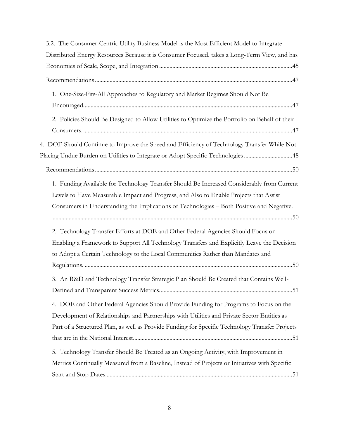| 3.2. The Consumer-Centric Utility Business Model is the Most Efficient Model to Integrate                                                                                                                                                                                               |
|-----------------------------------------------------------------------------------------------------------------------------------------------------------------------------------------------------------------------------------------------------------------------------------------|
| Distributed Energy Resources Because it is Consumer Focused, takes a Long-Term View, and has                                                                                                                                                                                            |
|                                                                                                                                                                                                                                                                                         |
|                                                                                                                                                                                                                                                                                         |
| 1. One-Size-Fits-All Approaches to Regulatory and Market Regimes Should Not Be                                                                                                                                                                                                          |
| 2. Policies Should Be Designed to Allow Utilities to Optimize the Portfolio on Behalf of their                                                                                                                                                                                          |
| 4. DOE Should Continue to Improve the Speed and Efficiency of Technology Transfer While Not<br>Placing Undue Burden on Utilities to Integrate or Adopt Specific Technologies 48                                                                                                         |
|                                                                                                                                                                                                                                                                                         |
| 1. Funding Available for Technology Transfer Should Be Increased Considerably from Current<br>Levels to Have Measurable Impact and Progress, and Also to Enable Projects that Assist<br>Consumers in Understanding the Implications of Technologies - Both Positive and Negative.       |
| 2. Technology Transfer Efforts at DOE and Other Federal Agencies Should Focus on<br>Enabling a Framework to Support All Technology Transfers and Explicitly Leave the Decision<br>to Adopt a Certain Technology to the Local Communities Rather than Mandates and                       |
| 3. An R&D and Technology Transfer Strategic Plan Should Be Created that Contains Well-                                                                                                                                                                                                  |
| 4. DOE and Other Federal Agencies Should Provide Funding for Programs to Focus on the<br>Development of Relationships and Partnerships with Utilities and Private Sector Entities as<br>Part of a Structured Plan, as well as Provide Funding for Specific Technology Transfer Projects |
| 5. Technology Transfer Should Be Treated as an Ongoing Activity, with Improvement in<br>Metrics Continually Measured from a Baseline, Instead of Projects or Initiatives with Specific                                                                                                  |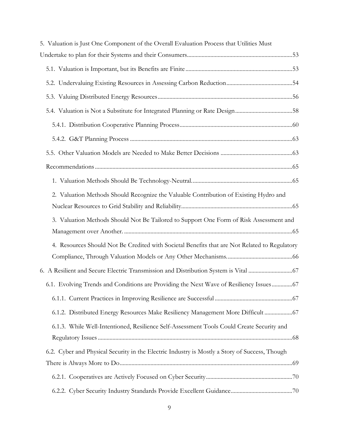| 5. Valuation is Just One Component of the Overall Evaluation Process that Utilities Must       |  |
|------------------------------------------------------------------------------------------------|--|
|                                                                                                |  |
|                                                                                                |  |
|                                                                                                |  |
|                                                                                                |  |
|                                                                                                |  |
|                                                                                                |  |
|                                                                                                |  |
|                                                                                                |  |
|                                                                                                |  |
|                                                                                                |  |
| 2. Valuation Methods Should Recognize the Valuable Contribution of Existing Hydro and          |  |
|                                                                                                |  |
| 3. Valuation Methods Should Not Be Tailored to Support One Form of Risk Assessment and         |  |
|                                                                                                |  |
| 4. Resources Should Not Be Credited with Societal Benefits that are Not Related to Regulatory  |  |
|                                                                                                |  |
| 67. A Resilient and Secure Electric Transmission and Distribution System is Vital              |  |
| 6.1. Evolving Trends and Conditions are Providing the Next Wave of Resiliency Issues 67        |  |
|                                                                                                |  |
| 6.1.2. Distributed Energy Resources Make Resiliency Management More Difficult  67              |  |
| 6.1.3. While Well-Intentioned, Resilience Self-Assessment Tools Could Create Security and      |  |
|                                                                                                |  |
| 6.2. Cyber and Physical Security in the Electric Industry is Mostly a Story of Success, Though |  |
|                                                                                                |  |
|                                                                                                |  |
|                                                                                                |  |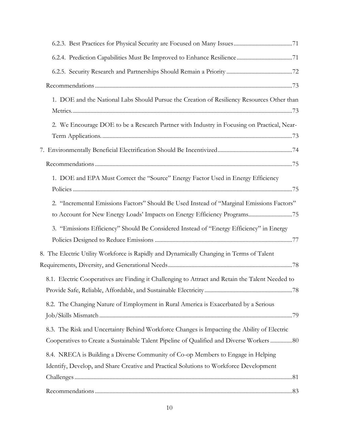| 1. DOE and the National Labs Should Pursue the Creation of Resiliency Resources Other than       |  |
|--------------------------------------------------------------------------------------------------|--|
|                                                                                                  |  |
| 2. We Encourage DOE to be a Research Partner with Industry in Focusing on Practical, Near-       |  |
|                                                                                                  |  |
|                                                                                                  |  |
| 1. DOE and EPA Must Correct the "Source" Energy Factor Used in Energy Efficiency                 |  |
| 2. "Incremental Emissions Factors" Should Be Used Instead of "Marginal Emissions Factors"        |  |
| to Account for New Energy Loads' Impacts on Energy Efficiency Programs75                         |  |
| 3. "Emissions Efficiency" Should Be Considered Instead of "Energy Efficiency" in Energy          |  |
| 8. The Electric Utility Workforce is Rapidly and Dynamically Changing in Terms of Talent         |  |
| 8.1. Electric Cooperatives are Finding it Challenging to Attract and Retain the Talent Needed to |  |
|                                                                                                  |  |
| 8.2. The Changing Nature of Employment in Rural America is Exacerbated by a Serious              |  |
| 8.3. The Risk and Uncertainty Behind Workforce Changes is Impacting the Ability of Electric      |  |
| Cooperatives to Create a Sustainable Talent Pipeline of Qualified and Diverse Workers 80         |  |
| 8.4. NRECA is Building a Diverse Community of Co-op Members to Engage in Helping                 |  |
| Identify, Develop, and Share Creative and Practical Solutions to Workforce Development           |  |
|                                                                                                  |  |
|                                                                                                  |  |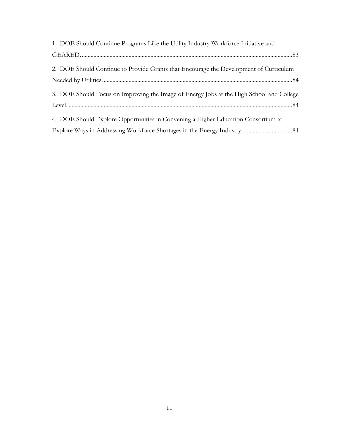| 1. DOE Should Continue Programs Like the Utility Industry Workforce Initiative and       |
|------------------------------------------------------------------------------------------|
|                                                                                          |
| 2. DOE Should Continue to Provide Grants that Encourage the Development of Curriculum    |
|                                                                                          |
| 3. DOE Should Focus on Improving the Image of Energy Jobs at the High School and College |
|                                                                                          |
| 4. DOE Should Explore Opportunities in Convening a Higher Education Consortium to        |
|                                                                                          |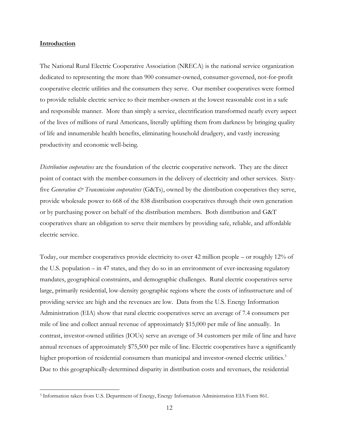#### <span id="page-11-0"></span>**Introduction**

 $\overline{a}$ 

The National Rural Electric Cooperative Association (NRECA) is the national service organization dedicated to representing the more than 900 consumer-owned, consumer-governed, not-for-profit cooperative electric utilities and the consumers they serve. Our member cooperatives were formed to provide reliable electric service to their member-owners at the lowest reasonable cost in a safe and responsible manner. More than simply a service, electrification transformed nearly every aspect of the lives of millions of rural Americans, literally uplifting them from darkness by bringing quality of life and innumerable health benefits, eliminating household drudgery, and vastly increasing productivity and economic well-being.

*Distribution cooperatives* are the foundation of the electric cooperative network. They are the direct point of contact with the member-consumers in the delivery of electricity and other services. Sixtyfive *Generation*  $\mathcal{O}$ *<sup>x</sup> Transmission cooperatives* (G&Ts), owned by the distribution cooperatives they serve, provide wholesale power to 668 of the 838 distribution cooperatives through their own generation or by purchasing power on behalf of the distribution members. Both distribution and G&T cooperatives share an obligation to serve their members by providing safe, reliable, and affordable electric service.

Today, our member cooperatives provide electricity to over 42 million people – or roughly 12% of the U.S. population – in 47 states, and they do so in an environment of ever-increasing regulatory mandates, geographical constraints, and demographic challenges. Rural electric cooperatives serve large, primarily residential, low-density geographic regions where the costs of infrastructure and of providing service are high and the revenues are low. Data from the U.S. Energy Information Administration (EIA) show that rural electric cooperatives serve an average of 7.4 consumers per mile of line and collect annual revenue of approximately \$15,000 per mile of line annually. In contrast, investor-owned utilities (IOUs) serve an average of 34 customers per mile of line and have annual revenues of approximately \$75,500 per mile of line. Electric cooperatives have a significantly higher proportion of residential consumers than municipal and investor-owned electric utilities.<sup>3</sup> Due to this geographically-determined disparity in distribution costs and revenues, the residential

<sup>3</sup> Information taken from U.S. Department of Energy, Energy Information Administration EIA Form 861.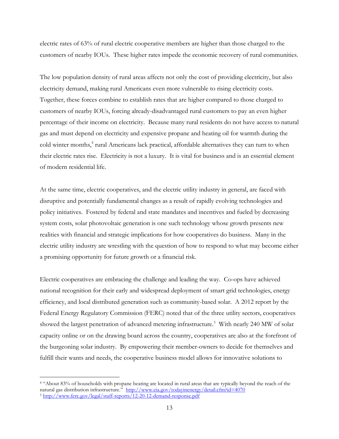electric rates of 63% of rural electric cooperative members are higher than those charged to the customers of nearby IOUs. These higher rates impede the economic recovery of rural communities.

The low population density of rural areas affects not only the cost of providing electricity, but also electricity demand, making rural Americans even more vulnerable to rising electricity costs. Together, these forces combine to establish rates that are higher compared to those charged to customers of nearby IOUs, forcing already-disadvantaged rural customers to pay an even higher percentage of their income on electricity. Because many rural residents do not have access to natural gas and must depend on electricity and expensive propane and heating oil for warmth during the cold winter months,<sup>4</sup> rural Americans lack practical, affordable alternatives they can turn to when their electric rates rise. Electricity is not a luxury. It is vital for business and is an essential element of modern residential life.

At the same time, electric cooperatives, and the electric utility industry in general, are faced with disruptive and potentially fundamental changes as a result of rapidly evolving technologies and policy initiatives. Fostered by federal and state mandates and incentives and fueled by decreasing system costs, solar photovoltaic generation is one such technology whose growth presents new realities with financial and strategic implications for how cooperatives do business. Many in the electric utility industry are wrestling with the question of how to respond to what may become either a promising opportunity for future growth or a financial risk.

Electric cooperatives are embracing the challenge and leading the way. Co-ops have achieved national recognition for their early and widespread deployment of smart grid technologies, energy efficiency, and local distributed generation such as community-based solar. A 2012 report by the Federal Energy Regulatory Commission (FERC) noted that of the three utility sectors, cooperatives showed the largest penetration of advanced metering infrastructure.<sup>5</sup> With nearly 240 MW of solar capacity online or on the drawing board across the country, cooperatives are also at the forefront of the burgeoning solar industry. By empowering their member-owners to decide for themselves and fulfill their wants and needs, the cooperative business model allows for innovative solutions to

<sup>4</sup> "About 83% of households with propane heating are located in rural areas that are typically beyond the reach of the natural gas distribution infrastructure." <http://www.eia.gov/todayinenergy/detail.cfm?id=4070> <sup>5</sup> <http://www.ferc.gov/legal/staff-reports/12-20-12-demand-response.pdf>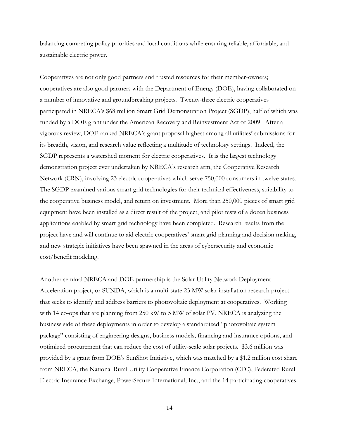balancing competing policy priorities and local conditions while ensuring reliable, affordable, and sustainable electric power.

Cooperatives are not only good partners and trusted resources for their member-owners; cooperatives are also good partners with the Department of Energy (DOE), having collaborated on a number of innovative and groundbreaking projects. Twenty-three electric cooperatives participated in NRECA's \$68 million Smart Grid Demonstration Project (SGDP), half of which was funded by a DOE grant under the American Recovery and Reinvestment Act of 2009. After a vigorous review, DOE ranked NRECA's grant proposal highest among all utilities' submissions for its breadth, vision, and research value reflecting a multitude of technology settings. Indeed, the SGDP represents a watershed moment for electric cooperatives. It is the largest technology demonstration project ever undertaken by NRECA's research arm, the Cooperative Research Network (CRN), involving 23 electric cooperatives which serve 750,000 consumers in twelve states. The SGDP examined various smart grid technologies for their technical effectiveness, suitability to the cooperative business model, and return on investment. More than 250,000 pieces of smart grid equipment have been installed as a direct result of the project, and pilot tests of a dozen business applications enabled by smart grid technology have been completed. Research results from the project have and will continue to aid electric cooperatives' smart grid planning and decision making, and new strategic initiatives have been spawned in the areas of cybersecurity and economic cost/benefit modeling.

Another seminal NRECA and DOE partnership is the Solar Utility Network Deployment Acceleration project, or SUNDA, which is a multi-state 23 MW solar installation research project that seeks to identify and address barriers to photovoltaic deployment at cooperatives. Working with 14 co-ops that are planning from 250 kW to 5 MW of solar PV, NRECA is analyzing the business side of these deployments in order to develop a standardized "photovoltaic system package" consisting of engineering designs, business models, financing and insurance options, and optimized procurement that can reduce the cost of utility-scale solar projects. \$3.6 million was provided by a grant from DOE's SunShot Initiative, which was matched by a \$1.2 million cost share from NRECA, the National Rural Utility Cooperative Finance Corporation (CFC), Federated Rural Electric Insurance Exchange, PowerSecure International, Inc., and the 14 participating cooperatives.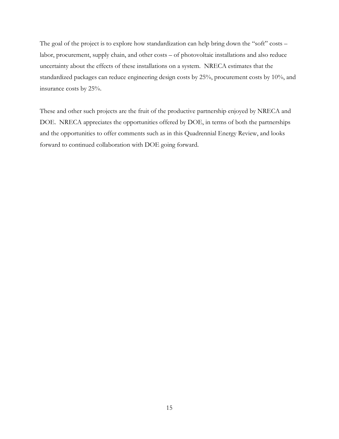The goal of the project is to explore how standardization can help bring down the "soft" costs labor, procurement, supply chain, and other costs – of photovoltaic installations and also reduce uncertainty about the effects of these installations on a system. NRECA estimates that the standardized packages can reduce engineering design costs by 25%, procurement costs by 10%, and insurance costs by 25%.

These and other such projects are the fruit of the productive partnership enjoyed by NRECA and DOE. NRECA appreciates the opportunities offered by DOE, in terms of both the partnerships and the opportunities to offer comments such as in this Quadrennial Energy Review, and looks forward to continued collaboration with DOE going forward.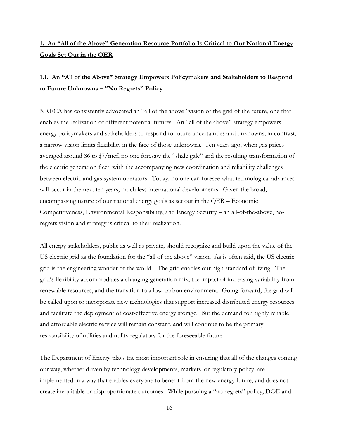## <span id="page-15-0"></span>**1. An "All of the Above" Generation Resource Portfolio Is Critical to Our National Energy Goals Set Out in the QER**

### <span id="page-15-1"></span>**1.1. An "All of the Above" Strategy Empowers Policymakers and Stakeholders to Respond to Future Unknowns – "No Regrets" Policy**

NRECA has consistently advocated an "all of the above" vision of the grid of the future, one that enables the realization of different potential futures. An "all of the above" strategy empowers energy policymakers and stakeholders to respond to future uncertainties and unknowns; in contrast, a narrow vision limits flexibility in the face of those unknowns. Ten years ago, when gas prices averaged around \$6 to \$7/mcf, no one foresaw the "shale gale" and the resulting transformation of the electric generation fleet, with the accompanying new coordination and reliability challenges between electric and gas system operators. Today, no one can foresee what technological advances will occur in the next ten years, much less international developments. Given the broad, encompassing nature of our national energy goals as set out in the QER – Economic Competitiveness, Environmental Responsibility, and Energy Security – an all-of-the-above, noregrets vision and strategy is critical to their realization.

All energy stakeholders, public as well as private, should recognize and build upon the value of the US electric grid as the foundation for the "all of the above" vision. As is often said, the US electric grid is the engineering wonder of the world. The grid enables our high standard of living. The grid's flexibility accommodates a changing generation mix, the impact of increasing variability from renewable resources, and the transition to a low-carbon environment. Going forward, the grid will be called upon to incorporate new technologies that support increased distributed energy resources and facilitate the deployment of cost-effective energy storage. But the demand for highly reliable and affordable electric service will remain constant, and will continue to be the primary responsibility of utilities and utility regulators for the foreseeable future.

The Department of Energy plays the most important role in ensuring that all of the changes coming our way, whether driven by technology developments, markets, or regulatory policy, are implemented in a way that enables everyone to benefit from the new energy future, and does not create inequitable or disproportionate outcomes. While pursuing a "no-regrets" policy, DOE and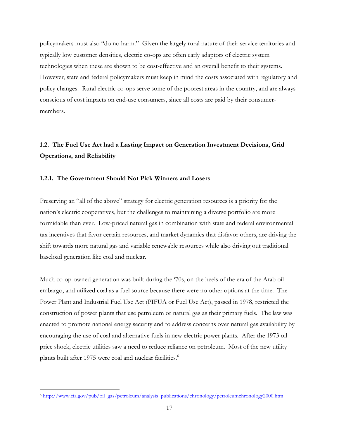policymakers must also "do no harm." Given the largely rural nature of their service territories and typically low customer densities, electric co-ops are often early adaptors of electric system technologies when these are shown to be cost-effective and an overall benefit to their systems. However, state and federal policymakers must keep in mind the costs associated with regulatory and policy changes. Rural electric co-ops serve some of the poorest areas in the country, and are always conscious of cost impacts on end-use consumers, since all costs are paid by their consumermembers.

# <span id="page-16-0"></span>**1.2. The Fuel Use Act had a Lasting Impact on Generation Investment Decisions, Grid Operations, and Reliability**

#### <span id="page-16-1"></span>**1.2.1. The Government Should Not Pick Winners and Losers**

Preserving an "all of the above" strategy for electric generation resources is a priority for the nation's electric cooperatives, but the challenges to maintaining a diverse portfolio are more formidable than ever. Low-priced natural gas in combination with state and federal environmental tax incentives that favor certain resources, and market dynamics that disfavor others, are driving the shift towards more natural gas and variable renewable resources while also driving out traditional baseload generation like coal and nuclear.

Much co-op-owned generation was built during the '70s, on the heels of the era of the Arab oil embargo, and utilized coal as a fuel source because there were no other options at the time. The Power Plant and Industrial Fuel Use Act (PIFUA or Fuel Use Act), passed in 1978, restricted the construction of power plants that use petroleum or natural gas as their primary fuels. The law was enacted to promote national energy security and to address concerns over natural gas availability by encouraging the use of coal and alternative fuels in new electric power plants. After the 1973 oil price shock, electric utilities saw a need to reduce reliance on petroleum. Most of the new utility plants built after 1975 were coal and nuclear facilities.<sup>6</sup>

<sup>6</sup> [http://www.eia.gov/pub/oil\\_gas/petroleum/analysis\\_publications/chronology/petroleumchronology2000.htm](http://www.eia.gov/pub/oil_gas/petroleum/analysis_publications/chronology/petroleumchronology2000.htm)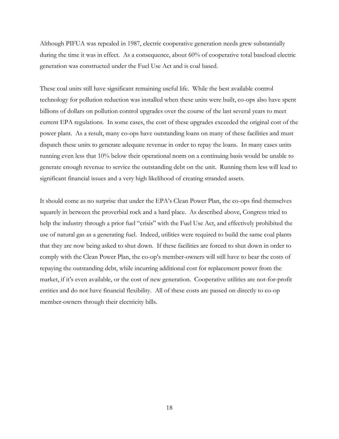Although PIFUA was repealed in 1987, electric cooperative generation needs grew substantially during the time it was in effect. As a consequence, about 60% of cooperative total baseload electric generation was constructed under the Fuel Use Act and is coal based.

These coal units still have significant remaining useful life. While the best available control technology for pollution reduction was installed when these units were built, co-ops also have spent billions of dollars on pollution control upgrades over the course of the last several years to meet current EPA regulations. In some cases, the cost of these upgrades exceeded the original cost of the power plant. As a result, many co-ops have outstanding loans on many of these facilities and must dispatch these units to generate adequate revenue in order to repay the loans. In many cases units running even less that 10% below their operational norm on a continuing basis would be unable to generate enough revenue to service the outstanding debt on the unit. Running them less will lead to significant financial issues and a very high likelihood of creating stranded assets.

It should come as no surprise that under the EPA's Clean Power Plan, the co-ops find themselves squarely in between the proverbial rock and a hard place. As described above, Congress tried to help the industry through a prior fuel "crisis" with the Fuel Use Act, and effectively prohibited the use of natural gas as a generating fuel. Indeed, utilities were required to build the same coal plants that they are now being asked to shut down. If these facilities are forced to shut down in order to comply with the Clean Power Plan, the co-op's member-owners will still have to bear the costs of repaying the outstanding debt, while incurring additional cost for replacement power from the market, if it's even available, or the cost of new generation. Cooperative utilities are not-for-profit entities and do not have financial flexibility. All of these costs are passed on directly to co-op member-owners through their electricity bills.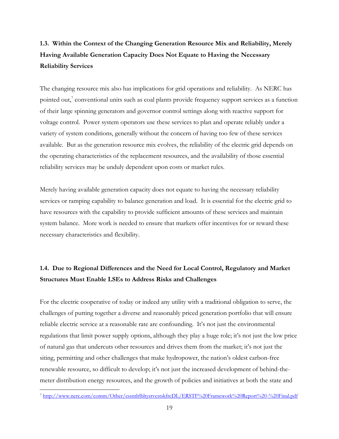# <span id="page-18-0"></span>**1.3. Within the Context of the Changing Generation Resource Mix and Reliability, Merely Having Available Generation Capacity Does Not Equate to Having the Necessary Reliability Services**

The changing resource mix also has implications for grid operations and reliability. As NERC has pointed out,<sup>7</sup> conventional units such as coal plants provide frequency support services as a function of their large spinning generators and governor control settings along with reactive support for voltage control. Power system operators use these services to plan and operate reliably under a variety of system conditions, generally without the concern of having too few of these services available. But as the generation resource mix evolves, the reliability of the electric grid depends on the operating characteristics of the replacement resources, and the availability of those essential reliability services may be unduly dependent upon costs or market rules.

Merely having available generation capacity does not equate to having the necessary reliability services or ramping capability to balance generation and load. It is essential for the electric grid to have resources with the capability to provide sufficient amounts of these services and maintain system balance. More work is needed to ensure that markets offer incentives for or reward these necessary characteristics and flexibility.

# <span id="page-18-1"></span>**1.4. Due to Regional Differences and the Need for Local Control, Regulatory and Market Structures Must Enable LSEs to Address Risks and Challenges**

For the electric cooperative of today or indeed any utility with a traditional obligation to serve, the challenges of putting together a diverse and reasonably priced generation portfolio that will ensure reliable electric service at a reasonable rate are confounding. It's not just the environmental regulations that limit power supply options, although they play a huge role; it's not just the low price of natural gas that undercuts other resources and drives them from the market; it's not just the siting, permitting and other challenges that make hydropower, the nation's oldest carbon-free renewable resource, so difficult to develop; it's not just the increased development of behind-themeter distribution energy resources, and the growth of policies and initiatives at both the state and

 $\overline{a}$ <sup>7</sup> <http://www.nerc.com/comm/Other/essntlrlbltysrvcstskfrcDL/ERSTF%20Framework%20Report%20-%20Final.pdf>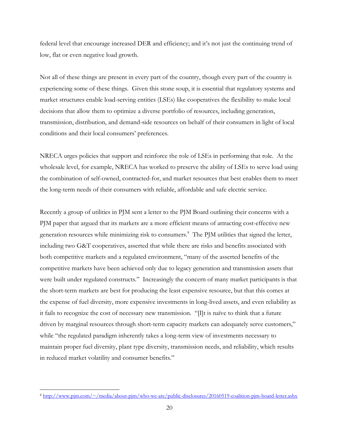federal level that encourage increased DER and efficiency; and it's not just the continuing trend of low, flat or even negative load growth.

Not all of these things are present in every part of the country, though every part of the country is experiencing some of these things. Given this stone soup, it is essential that regulatory systems and market structures enable load-serving entities (LSEs) like cooperatives the flexibility to make local decisions that allow them to optimize a diverse portfolio of resources, including generation, transmission, distribution, and demand-side resources on behalf of their consumers in light of local conditions and their local consumers' preferences.

NRECA urges policies that support and reinforce the role of LSEs in performing that role. At the wholesale level, for example, NRECA has worked to preserve the ability of LSEs to serve load using the combination of self-owned, contracted-for, and market resources that best enables them to meet the long-term needs of their consumers with reliable, affordable and safe electric service.

Recently a group of utilities in PJM sent a letter to the PJM Board outlining their concerns with a PJM paper that argued that its markets are a more efficient means of attracting cost-effective new generation resources while minimizing risk to consumers.<sup>8</sup> The PJM utilities that signed the letter, including two G&T cooperatives, asserted that while there are risks and benefits associated with both competitive markets and a regulated environment, "many of the asserted benefits of the competitive markets have been achieved only due to legacy generation and transmission assets that were built under regulated constructs." Increasingly the concern of many market participants is that the short-term markets are best for producing the least expensive resource, but that this comes at the expense of fuel diversity, more expensive investments in long-lived assets, and even reliability as it fails to recognize the cost of necessary new transmission. "[I]t is naïve to think that a future driven by marginal resources through short-term capacity markets can adequately serve customers," while "the regulated paradigm inherently takes a long-term view of investments necessary to maintain proper fuel diversity, plant type diversity, transmission needs, and reliability, which results in reduced market volatility and consumer benefits."

 $\overline{a}$ <sup>8</sup> <http://www.pjm.com/~/media/about-pjm/who-we-are/public-disclosures/20160519-coalition-pjm-board-letter.ashx>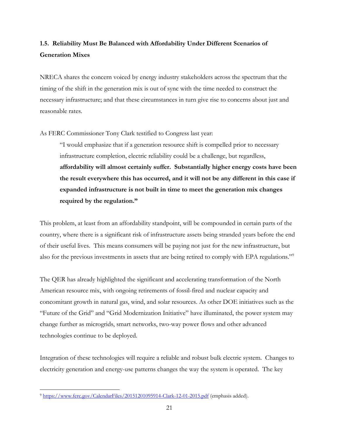# <span id="page-20-0"></span>**1.5. Reliability Must Be Balanced with Affordability Under Different Scenarios of Generation Mixes**

NRECA shares the concern voiced by energy industry stakeholders across the spectrum that the timing of the shift in the generation mix is out of sync with the time needed to construct the necessary infrastructure; and that these circumstances in turn give rise to concerns about just and reasonable rates.

As FERC Commissioner Tony Clark testified to Congress last year:

"I would emphasize that if a generation resource shift is compelled prior to necessary infrastructure completion, electric reliability could be a challenge, but regardless, **affordability will almost certainly suffer. Substantially higher energy costs have been the result everywhere this has occurred, and it will not be any different in this case if expanded infrastructure is not built in time to meet the generation mix changes required by the regulation."**

This problem, at least from an affordability standpoint, will be compounded in certain parts of the country, where there is a significant risk of infrastructure assets being stranded years before the end of their useful lives. This means consumers will be paying not just for the new infrastructure, but also for the previous investments in assets that are being retired to comply with EPA regulations."<sup>9</sup>

The QER has already highlighted the significant and accelerating transformation of the North American resource mix, with ongoing retirements of fossil-fired and nuclear capacity and concomitant growth in natural gas, wind, and solar resources. As other DOE initiatives such as the "Future of the Grid" and "Grid Modernization Initiative" have illuminated, the power system may change further as microgrids, smart networks, two-way power flows and other advanced technologies continue to be deployed.

Integration of these technologies will require a reliable and robust bulk electric system. Changes to electricity generation and energy-use patterns changes the way the system is operated. The key

 $\overline{a}$ <sup>9</sup> <https://www.ferc.gov/CalendarFiles/20151201095914-Clark-12-01-2015.pdf> (emphasis added).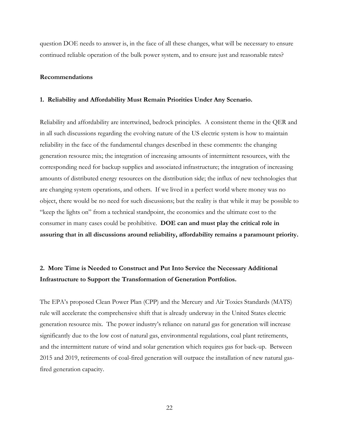question DOE needs to answer is, in the face of all these changes, what will be necessary to ensure continued reliable operation of the bulk power system, and to ensure just and reasonable rates?

#### <span id="page-21-0"></span>**Recommendations**

#### <span id="page-21-1"></span>**1. Reliability and Affordability Must Remain Priorities Under Any Scenario.**

Reliability and affordability are intertwined, bedrock principles. A consistent theme in the QER and in all such discussions regarding the evolving nature of the US electric system is how to maintain reliability in the face of the fundamental changes described in these comments: the changing generation resource mix; the integration of increasing amounts of intermittent resources, with the corresponding need for backup supplies and associated infrastructure; the integration of increasing amounts of distributed energy resources on the distribution side; the influx of new technologies that are changing system operations, and others. If we lived in a perfect world where money was no object, there would be no need for such discussions; but the reality is that while it may be possible to "keep the lights on" from a technical standpoint, the economics and the ultimate cost to the consumer in many cases could be prohibitive. **DOE can and must play the critical role in assuring that in all discussions around reliability, affordability remains a paramount priority.**

### <span id="page-21-2"></span>**2. More Time is Needed to Construct and Put Into Service the Necessary Additional Infrastructure to Support the Transformation of Generation Portfolios.**

The EPA's proposed Clean Power Plan (CPP) and the Mercury and Air Toxics Standards (MATS) rule will accelerate the comprehensive shift that is already underway in the United States electric generation resource mix. The power industry's reliance on natural gas for generation will increase significantly due to the low cost of natural gas, environmental regulations, coal plant retirements, and the intermittent nature of wind and solar generation which requires gas for back-up. Between 2015 and 2019, retirements of coal-fired generation will outpace the installation of new natural gasfired generation capacity.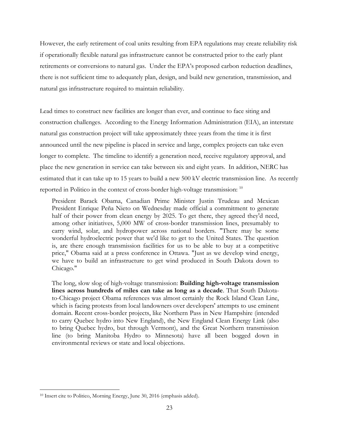However, the early retirement of coal units resulting from EPA regulations may create reliability risk if operationally flexible natural gas infrastructure cannot be constructed prior to the early plant retirements or conversions to natural gas. Under the EPA's proposed carbon reduction deadlines, there is not sufficient time to adequately plan, design, and build new generation, transmission, and natural gas infrastructure required to maintain reliability.

Lead times to construct new facilities are longer than ever, and continue to face siting and construction challenges. According to the Energy Information Administration (EIA), an interstate natural gas construction project will take approximately three years from the time it is first announced until the new pipeline is placed in service and large, complex projects can take even longer to complete. The timeline to identify a generation need, receive regulatory approval, and place the new generation in service can take between six and eight years. In addition, NERC has estimated that it can take up to 15 years to build a new 500 kV electric transmission line. As recently reported in Politico in the context of cross-border high-voltage transmission: <sup>10</sup>

President Barack Obama, Canadian Prime Minister Justin Trudeau and Mexican President Enrique Peña Nieto on Wednesday made official a commitment to generate half of their power from clean energy by 2025. To get there, they agreed they'd need, among other initiatives, 5,000 MW of cross-border transmission lines, presumably to carry wind, solar, and hydropower across national borders. "There may be some wonderful hydroelectric power that we'd like to get to the United States. The question is, are there enough transmission facilities for us to be able to buy at a competitive price," Obama said at a press conference in Ottawa. "Just as we develop wind energy, we have to build an infrastructure to get wind produced in South Dakota down to Chicago."

The long, slow slog of high-voltage transmission: **Building high-voltage transmission lines across hundreds of miles can take as long as a decade**. That South Dakotato-Chicago project Obama references was almost certainly the Rock Island Clean Line, which is facing protests from local landowners over developers' attempts to use eminent domain. Recent cross-border projects, like Northern Pass in New Hampshire (intended to carry Quebec hydro into New England), the New England Clean Energy Link (also to bring Quebec hydro, but through Vermont), and the Great Northern transmission line (to bring Manitoba Hydro to Minnesota) have all been bogged down in environmental reviews or state and local objections.

<sup>&</sup>lt;sup>10</sup> Insert cite to Politico, Morning Energy, June 30, 2016 (emphasis added).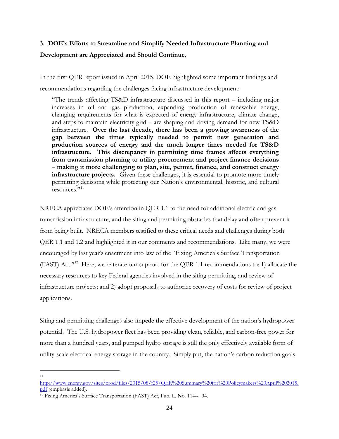# <span id="page-23-0"></span>**3. DOE's Efforts to Streamline and Simplify Needed Infrastructure Planning and Development are Appreciated and Should Continue.**

In the first QER report issued in April 2015, DOE highlighted some important findings and recommendations regarding the challenges facing infrastructure development:

"The trends affecting TS&D infrastructure discussed in this report – including major increases in oil and gas production, expanding production of renewable energy, changing requirements for what is expected of energy infrastructure, climate change, and steps to maintain electricity grid – are shaping and driving demand for new TS&D infrastructure. **Over the last decade, there has been a growing awareness of the gap between the times typically needed to permit new generation and production sources of energy and the much longer times needed for TS&D infrastructure**. **This discrepancy in permitting time frames affects everything from transmission planning to utility procurement and project finance decisions – making it more challenging to plan, site, permit, finance, and construct energy infrastructure projects.** Given these challenges, it is essential to promote more timely permitting decisions while protecting our Nation's environmental, historic, and cultural resources."<sup>11</sup>

NRECA appreciates DOE's attention in QER 1.1 to the need for additional electric and gas transmission infrastructure, and the siting and permitting obstacles that delay and often prevent it from being built. NRECA members testified to these critical needs and challenges during both QER 1.1 and 1.2 and highlighted it in our comments and recommendations. Like many, we were encouraged by last year's enactment into law of the "Fixing America's Surface Transportation (FAST) Act."<sup>12</sup> Here, we reiterate our support for the QER 1.1 recommendations to: 1) allocate the necessary resources to key Federal agencies involved in the siting permitting, and review of infrastructure projects; and 2) adopt proposals to authorize recovery of costs for review of project applications.

Siting and permitting challenges also impede the effective development of the nation's hydropower potential. The U.S. hydropower fleet has been providing clean, reliable, and carbon-free power for more than a hundred years, and pumped hydro storage is still the only effectively available form of utility-scale electrical energy storage in the country. Simply put, the nation's carbon reduction goals

[http://www.energy.gov/sites/prod/files/2015/08/f25/QER%20Summary%20for%20Policymakers%20April%202015.](http://www.energy.gov/sites/prod/files/2015/08/f25/QER%20Summary%20for%20Policymakers%20April%202015.pdf) [pdf](http://www.energy.gov/sites/prod/files/2015/08/f25/QER%20Summary%20for%20Policymakers%20April%202015.pdf) (emphasis added).

<sup>12</sup> Fixing America's Surface Transportation (FAST) Act, Pub. L. No. 114--‐ 94.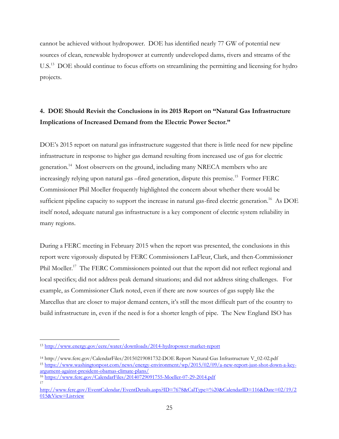cannot be achieved without hydropower. DOE has identified nearly 77 GW of potential new sources of clean, renewable hydropower at currently undeveloped dams, rivers and streams of the U.S.<sup>13</sup> DOE should continue to focus efforts on streamlining the permitting and licensing for hydro projects.

# <span id="page-24-0"></span>**4. DOE Should Revisit the Conclusions in its 2015 Report on "Natural Gas Infrastructure Implications of Increased Demand from the Electric Power Sector."**

DOE's 2015 report on natural gas infrastructure suggested that there is little need for new pipeline infrastructure in response to higher gas demand resulting from increased use of gas for electric generation.<sup>14</sup> Most observers on the ground, including many NRECA members who are increasingly relying upon natural gas –fired generation, dispute this premise.<sup>15</sup> Former FERC Commissioner Phil Moeller frequently highlighted the concern about whether there would be sufficient pipeline capacity to support the increase in natural gas-fired electric generation.<sup>16</sup> As DOE itself noted, adequate natural gas infrastructure is a key component of electric system reliability in many regions.

During a FERC meeting in February 2015 when the report was presented, the conclusions in this report were vigorously disputed by FERC Commissioners LaFleur, Clark, and then-Commissioner Phil Moeller.<sup>17</sup> The FERC Commissioners pointed out that the report did not reflect regional and local specifics; did not address peak demand situations; and did not address siting challenges. For example, as Commissioner Clark noted, even if there are now sources of gas supply like the Marcellus that are closer to major demand centers, it's still the most difficult part of the country to build infrastructure in, even if the need is for a shorter length of pipe. The New England ISO has

<sup>13</sup> <http://www.energy.gov/eere/water/downloads/2014-hydropower-market-report>

<sup>14</sup> http://www.ferc.gov/CalendarFiles/20150219081732-DOE Report Natural Gas Infrastructure V\_02-02.pdf <sup>15</sup> [https://www.washingtonpost.com/news/energy-environment/wp/2015/02/09/a-new-report-just-shot-down-a-key](https://www.washingtonpost.com/news/energy-environment/wp/2015/02/09/a-new-report-just-shot-down-a-key-argument-against-president-obamas-climate-plans/)[argument-against-president-obamas-climate-plans/](https://www.washingtonpost.com/news/energy-environment/wp/2015/02/09/a-new-report-just-shot-down-a-key-argument-against-president-obamas-climate-plans/)

<sup>16</sup> <https://www.ferc.gov/CalendarFiles/20140729091755-Moeller-07-29-2014.pdf> 17

[http://www.ferc.gov/EventCalendar/EventDetails.aspx?ID=7678&CalType=%20&CalendarID=116&Date=02/19/2](http://www.ferc.gov/EventCalendar/EventDetails.aspx?ID=7678&CalType=%20&CalendarID=116&Date=02/19/2015&View=Listview) [015&View=Listview](http://www.ferc.gov/EventCalendar/EventDetails.aspx?ID=7678&CalType=%20&CalendarID=116&Date=02/19/2015&View=Listview)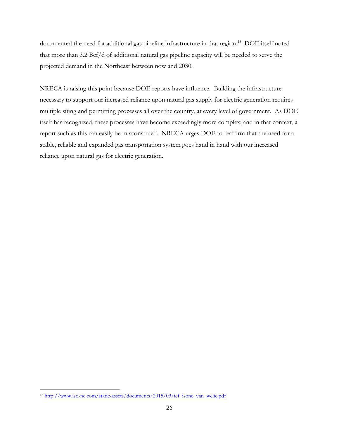documented the need for additional gas pipeline infrastructure in that region.<sup>18</sup> DOE itself noted that more than 3.2 Bcf/d of additional natural gas pipeline capacity will be needed to serve the projected demand in the Northeast between now and 2030.

NRECA is raising this point because DOE reports have influence. Building the infrastructure necessary to support our increased reliance upon natural gas supply for electric generation requires multiple siting and permitting processes all over the country, at every level of government. As DOE itself has recognized, these processes have become exceedingly more complex; and in that context, a report such as this can easily be misconstrued. NRECA urges DOE to reaffirm that the need for a stable, reliable and expanded gas transportation system goes hand in hand with our increased reliance upon natural gas for electric generation.

 $\overline{a}$ <sup>18</sup> http://www.iso-ne.com/static-assets/documents/2015/03/icf\_isone\_van\_welie.pdf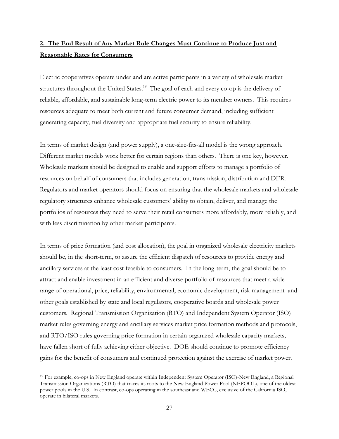## <span id="page-26-0"></span>**2. The End Result of Any Market Rule Changes Must Continue to Produce Just and Reasonable Rates for Consumers**

Electric cooperatives operate under and are active participants in a variety of wholesale market structures throughout the United States.<sup>19</sup> The goal of each and every co-op is the delivery of reliable, affordable, and sustainable long-term electric power to its member owners. This requires resources adequate to meet both current and future consumer demand, including sufficient generating capacity, fuel diversity and appropriate fuel security to ensure reliability.

In terms of market design (and power supply), a one-size-fits-all model is the wrong approach. Different market models work better for certain regions than others. There is one key, however. Wholesale markets should be designed to enable and support efforts to manage a portfolio of resources on behalf of consumers that includes generation, transmission, distribution and DER. Regulators and market operators should focus on ensuring that the wholesale markets and wholesale regulatory structures enhance wholesale customers' ability to obtain, deliver, and manage the portfolios of resources they need to serve their retail consumers more affordably, more reliably, and with less discrimination by other market participants.

In terms of price formation (and cost allocation), the goal in organized wholesale electricity markets should be, in the short-term, to assure the efficient dispatch of resources to provide energy and ancillary services at the least cost feasible to consumers. In the long-term, the goal should be to attract and enable investment in an efficient and diverse portfolio of resources that meet a wide range of operational, price, reliability, environmental, economic development, risk management and other goals established by state and local regulators, cooperative boards and wholesale power customers. Regional Transmission Organization (RTO) and Independent System Operator (ISO) market rules governing energy and ancillary services market price formation methods and protocols, and RTO/ISO rules governing price formation in certain organized wholesale capacity markets, have fallen short of fully achieving either objective. DOE should continue to promote efficiency gains for the benefit of consumers and continued protection against the exercise of market power.

<sup>19</sup> For example, co-ops in New England operate within Independent System Operator (ISO)-New England, a Regional Transmission Organizations (RTO) that traces its roots to the New England Power Pool (NEPOOL), one of the oldest power pools in the U.S. In contrast, co-ops operating in the southeast and WECC, exclusive of the California ISO, operate in bilateral markets.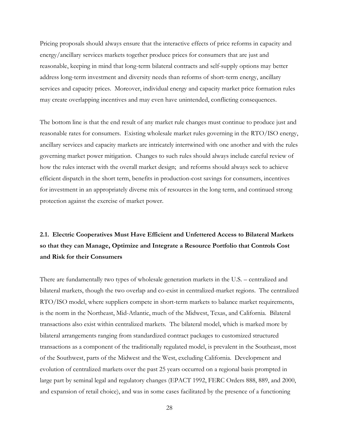Pricing proposals should always ensure that the interactive effects of price reforms in capacity and energy/ancillary services markets together produce prices for consumers that are just and reasonable, keeping in mind that long-term bilateral contracts and self-supply options may better address long-term investment and diversity needs than reforms of short-term energy, ancillary services and capacity prices. Moreover, individual energy and capacity market price formation rules may create overlapping incentives and may even have unintended, conflicting consequences.

The bottom line is that the end result of any market rule changes must continue to produce just and reasonable rates for consumers. Existing wholesale market rules governing in the RTO/ISO energy, ancillary services and capacity markets are intricately intertwined with one another and with the rules governing market power mitigation. Changes to such rules should always include careful review of how the rules interact with the overall market design; and reforms should always seek to achieve efficient dispatch in the short term, benefits in production-cost savings for consumers, incentives for investment in an appropriately diverse mix of resources in the long term, and continued strong protection against the exercise of market power.

# <span id="page-27-0"></span>**2.1. Electric Cooperatives Must Have Efficient and Unfettered Access to Bilateral Markets so that they can Manage, Optimize and Integrate a Resource Portfolio that Controls Cost and Risk for their Consumers**

There are fundamentally two types of wholesale generation markets in the U.S. – centralized and bilateral markets, though the two overlap and co-exist in centralized-market regions. The centralized RTO/ISO model, where suppliers compete in short-term markets to balance market requirements, is the norm in the Northeast, Mid-Atlantic, much of the Midwest, Texas, and California. Bilateral transactions also exist within centralized markets. The bilateral model, which is marked more by bilateral arrangements ranging from standardized contract packages to customized structured transactions as a component of the traditionally regulated model, is prevalent in the Southeast, most of the Southwest, parts of the Midwest and the West, excluding California. Development and evolution of centralized markets over the past 25 years occurred on a regional basis prompted in large part by seminal legal and regulatory changes (EPACT 1992, FERC Orders 888, 889, and 2000, and expansion of retail choice), and was in some cases facilitated by the presence of a functioning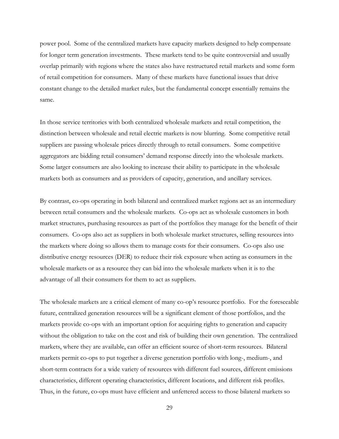power pool. Some of the centralized markets have capacity markets designed to help compensate for longer term generation investments. These markets tend to be quite controversial and usually overlap primarily with regions where the states also have restructured retail markets and some form of retail competition for consumers. Many of these markets have functional issues that drive constant change to the detailed market rules, but the fundamental concept essentially remains the same.

In those service territories with both centralized wholesale markets and retail competition, the distinction between wholesale and retail electric markets is now blurring. Some competitive retail suppliers are passing wholesale prices directly through to retail consumers. Some competitive aggregators are bidding retail consumers' demand response directly into the wholesale markets. Some larger consumers are also looking to increase their ability to participate in the wholesale markets both as consumers and as providers of capacity, generation, and ancillary services.

By contrast, co-ops operating in both bilateral and centralized market regions act as an intermediary between retail consumers and the wholesale markets. Co-ops act as wholesale customers in both market structures, purchasing resources as part of the portfolios they manage for the benefit of their consumers. Co-ops also act as suppliers in both wholesale market structures, selling resources into the markets where doing so allows them to manage costs for their consumers. Co-ops also use distributive energy resources (DER) to reduce their risk exposure when acting as consumers in the wholesale markets or as a resource they can bid into the wholesale markets when it is to the advantage of all their consumers for them to act as suppliers.

The wholesale markets are a critical element of many co-op's resource portfolio. For the foreseeable future, centralized generation resources will be a significant element of those portfolios, and the markets provide co-ops with an important option for acquiring rights to generation and capacity without the obligation to take on the cost and risk of building their own generation. The centralized markets, where they are available, can offer an efficient source of short-term resources. Bilateral markets permit co-ops to put together a diverse generation portfolio with long-, medium-, and short-term contracts for a wide variety of resources with different fuel sources, different emissions characteristics, different operating characteristics, different locations, and different risk profiles. Thus, in the future, co-ops must have efficient and unfettered access to those bilateral markets so

29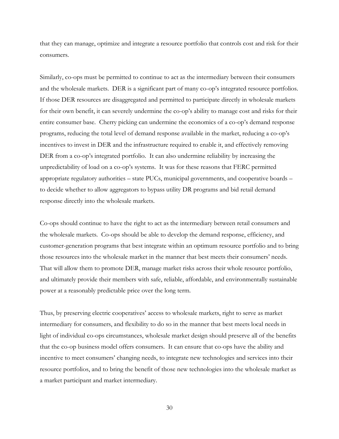that they can manage, optimize and integrate a resource portfolio that controls cost and risk for their consumers.

Similarly, co-ops must be permitted to continue to act as the intermediary between their consumers and the wholesale markets. DER is a significant part of many co-op's integrated resource portfolios. If those DER resources are disaggregated and permitted to participate directly in wholesale markets for their own benefit, it can severely undermine the co-op's ability to manage cost and risks for their entire consumer base. Cherry picking can undermine the economics of a co-op's demand response programs, reducing the total level of demand response available in the market, reducing a co-op's incentives to invest in DER and the infrastructure required to enable it, and effectively removing DER from a co-op's integrated portfolio. It can also undermine reliability by increasing the unpredictability of load on a co-op's systems. It was for these reasons that FERC permitted appropriate regulatory authorities – state PUCs, municipal governments, and cooperative boards – to decide whether to allow aggregators to bypass utility DR programs and bid retail demand response directly into the wholesale markets.

Co-ops should continue to have the right to act as the intermediary between retail consumers and the wholesale markets. Co-ops should be able to develop the demand response, efficiency, and customer-generation programs that best integrate within an optimum resource portfolio and to bring those resources into the wholesale market in the manner that best meets their consumers' needs. That will allow them to promote DER, manage market risks across their whole resource portfolio, and ultimately provide their members with safe, reliable, affordable, and environmentally sustainable power at a reasonably predictable price over the long term.

Thus, by preserving electric cooperatives' access to wholesale markets, right to serve as market intermediary for consumers, and flexibility to do so in the manner that best meets local needs in light of individual co-ops circumstances, wholesale market design should preserve all of the benefits that the co-op business model offers consumers. It can ensure that co-ops have the ability and incentive to meet consumers' changing needs, to integrate new technologies and services into their resource portfolios, and to bring the benefit of those new technologies into the wholesale market as a market participant and market intermediary.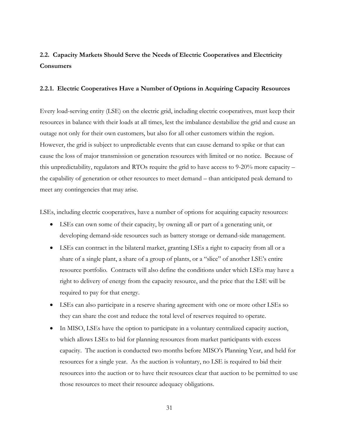# <span id="page-30-0"></span>**2.2. Capacity Markets Should Serve the Needs of Electric Cooperatives and Electricity Consumers**

#### <span id="page-30-1"></span>**2.2.1. Electric Cooperatives Have a Number of Options in Acquiring Capacity Resources**

Every load-serving entity (LSE) on the electric grid, including electric cooperatives, must keep their resources in balance with their loads at all times, lest the imbalance destabilize the grid and cause an outage not only for their own customers, but also for all other customers within the region. However, the grid is subject to unpredictable events that can cause demand to spike or that can cause the loss of major transmission or generation resources with limited or no notice. Because of this unpredictability, regulators and RTOs require the grid to have access to 9-20% more capacity – the capability of generation or other resources to meet demand – than anticipated peak demand to meet any contingencies that may arise.

LSEs, including electric cooperatives, have a number of options for acquiring capacity resources:

- LSEs can own some of their capacity, by owning all or part of a generating unit, or developing demand-side resources such as battery storage or demand-side management.
- LSEs can contract in the bilateral market, granting LSEs a right to capacity from all or a share of a single plant, a share of a group of plants, or a "slice" of another LSE's entire resource portfolio. Contracts will also define the conditions under which LSEs may have a right to delivery of energy from the capacity resource, and the price that the LSE will be required to pay for that energy.
- LSEs can also participate in a reserve sharing agreement with one or more other LSEs so they can share the cost and reduce the total level of reserves required to operate.
- In MISO, LSEs have the option to participate in a voluntary centralized capacity auction, which allows LSEs to bid for planning resources from market participants with excess capacity. The auction is conducted two months before MISO's Planning Year, and held for resources for a single year. As the auction is voluntary, no LSE is required to bid their resources into the auction or to have their resources clear that auction to be permitted to use those resources to meet their resource adequacy obligations.

31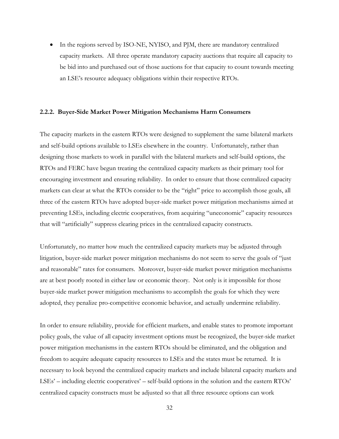In the regions served by ISO-NE, NYISO, and PJM, there are mandatory centralized capacity markets. All three operate mandatory capacity auctions that require all capacity to be bid into and purchased out of those auctions for that capacity to count towards meeting an LSE's resource adequacy obligations within their respective RTOs.

#### <span id="page-31-0"></span>**2.2.2. Buyer-Side Market Power Mitigation Mechanisms Harm Consumers**

The capacity markets in the eastern RTOs were designed to supplement the same bilateral markets and self-build options available to LSEs elsewhere in the country. Unfortunately, rather than designing those markets to work in parallel with the bilateral markets and self-build options, the RTOs and FERC have begun treating the centralized capacity markets as their primary tool for encouraging investment and ensuring reliability. In order to ensure that those centralized capacity markets can clear at what the RTOs consider to be the "right" price to accomplish those goals, all three of the eastern RTOs have adopted buyer-side market power mitigation mechanisms aimed at preventing LSEs, including electric cooperatives, from acquiring "uneconomic" capacity resources that will "artificially" suppress clearing prices in the centralized capacity constructs.

Unfortunately, no matter how much the centralized capacity markets may be adjusted through litigation, buyer-side market power mitigation mechanisms do not seem to serve the goals of "just and reasonable" rates for consumers. Moreover, buyer-side market power mitigation mechanisms are at best poorly rooted in either law or economic theory. Not only is it impossible for those buyer-side market power mitigation mechanisms to accomplish the goals for which they were adopted, they penalize pro-competitive economic behavior, and actually undermine reliability.

In order to ensure reliability, provide for efficient markets, and enable states to promote important policy goals, the value of all capacity investment options must be recognized, the buyer-side market power mitigation mechanisms in the eastern RTOs should be eliminated, and the obligation and freedom to acquire adequate capacity resources to LSEs and the states must be returned. It is necessary to look beyond the centralized capacity markets and include bilateral capacity markets and LSEs' – including electric cooperatives' – self-build options in the solution and the eastern RTOs' centralized capacity constructs must be adjusted so that all three resource options can work

32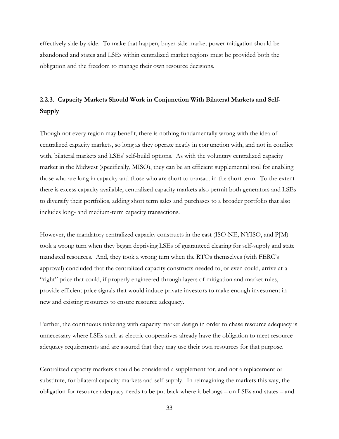effectively side-by-side. To make that happen, buyer-side market power mitigation should be abandoned and states and LSEs within centralized market regions must be provided both the obligation and the freedom to manage their own resource decisions.

## <span id="page-32-0"></span>**2.2.3. Capacity Markets Should Work in Conjunction With Bilateral Markets and Self-Supply**

Though not every region may benefit, there is nothing fundamentally wrong with the idea of centralized capacity markets, so long as they operate neatly in conjunction with, and not in conflict with, bilateral markets and LSEs' self-build options. As with the voluntary centralized capacity market in the Midwest (specifically, MISO), they can be an efficient supplemental tool for enabling those who are long in capacity and those who are short to transact in the short term. To the extent there is excess capacity available, centralized capacity markets also permit both generators and LSEs to diversify their portfolios, adding short term sales and purchases to a broader portfolio that also includes long- and medium-term capacity transactions.

However, the mandatory centralized capacity constructs in the east (ISO-NE, NYISO, and PJM) took a wrong turn when they began depriving LSEs of guaranteed clearing for self-supply and state mandated resources. And, they took a wrong turn when the RTOs themselves (with FERC's approval) concluded that the centralized capacity constructs needed to, or even could, arrive at a "right" price that could, if properly engineered through layers of mitigation and market rules, provide efficient price signals that would induce private investors to make enough investment in new and existing resources to ensure resource adequacy.

Further, the continuous tinkering with capacity market design in order to chase resource adequacy is unnecessary where LSEs such as electric cooperatives already have the obligation to meet resource adequacy requirements and are assured that they may use their own resources for that purpose.

Centralized capacity markets should be considered a supplement for, and not a replacement or substitute, for bilateral capacity markets and self-supply. In reimagining the markets this way, the obligation for resource adequacy needs to be put back where it belongs – on LSEs and states – and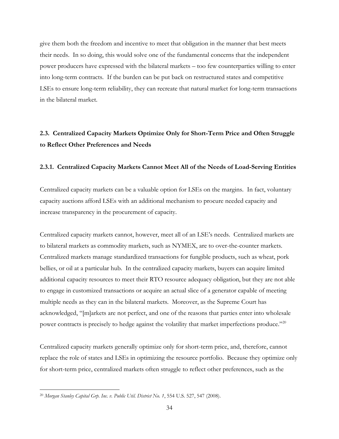give them both the freedom and incentive to meet that obligation in the manner that best meets their needs. In so doing, this would solve one of the fundamental concerns that the independent power producers have expressed with the bilateral markets – too few counterparties willing to enter into long-term contracts. If the burden can be put back on restructured states and competitive LSEs to ensure long-term reliability, they can recreate that natural market for long-term transactions in the bilateral market.

### <span id="page-33-0"></span>**2.3. Centralized Capacity Markets Optimize Only for Short-Term Price and Often Struggle to Reflect Other Preferences and Needs**

#### <span id="page-33-1"></span>**2.3.1. Centralized Capacity Markets Cannot Meet All of the Needs of Load-Serving Entities**

Centralized capacity markets can be a valuable option for LSEs on the margins. In fact, voluntary capacity auctions afford LSEs with an additional mechanism to procure needed capacity and increase transparency in the procurement of capacity.

Centralized capacity markets cannot, however, meet all of an LSE's needs. Centralized markets are to bilateral markets as commodity markets, such as NYMEX, are to over-the-counter markets. Centralized markets manage standardized transactions for fungible products, such as wheat, pork bellies, or oil at a particular hub. In the centralized capacity markets, buyers can acquire limited additional capacity resources to meet their RTO resource adequacy obligation, but they are not able to engage in customized transactions or acquire an actual slice of a generator capable of meeting multiple needs as they can in the bilateral markets. Moreover, as the Supreme Court has acknowledged, "[m]arkets are not perfect, and one of the reasons that parties enter into wholesale power contracts is precisely to hedge against the volatility that market imperfections produce."<sup>20</sup>

Centralized capacity markets generally optimize only for short-term price, and, therefore, cannot replace the role of states and LSEs in optimizing the resource portfolio. Because they optimize only for short-term price, centralized markets often struggle to reflect other preferences, such as the

 $\overline{a}$ <sup>20</sup> *Morgan Stanley Capital Grp. Inc. v. Public Util. District No. 1*, 554 U.S. 527, 547 (2008).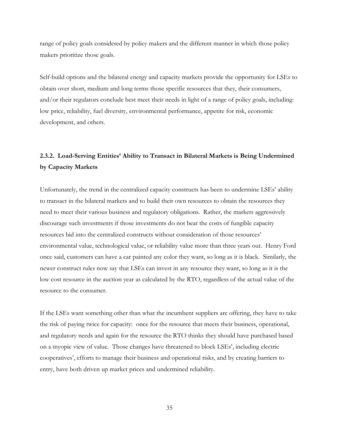range of policy goals considered by policy makers and the different manner in which those policy makers prioritize those goals.

Self-build options and the bilateral energy and capacity markets provide the opportunity for LSEs to obtain over short, medium and long terms those specific resources that they, their consumers, and/or their regulators conclude best meet their needs in light of a range of policy goals, including: low price, reliability, fuel diversity, environmental performance, appetite for risk, economic development, and others.

## <span id="page-34-0"></span>**2.3.2. Load-Serving Entities' Ability to Transact in Bilateral Markets is Being Undermined by Capacity Markets**

Unfortunately, the trend in the centralized capacity constructs has been to undermine LSEs' ability to transact in the bilateral markets and to build their own resources to obtain the resources they need to meet their various business and regulatory obligations. Rather, the markets aggressively discourage such investments if those investments do not beat the costs of fungible capacity resources bid into the centralized constructs without consideration of those resources' environmental value, technological value, or reliability value more than three years out. Henry Ford once said, customers can have a car painted any color they want, so long as it is black. Similarly, the newer construct rules now say that LSEs can invest in any resource they want, so long as it is the low cost resource in the auction year as calculated by the RTO, regardless of the actual value of the resource to the consumer.

If the LSEs want something other than what the incumbent suppliers are offering, they have to take the risk of paying twice for capacity: once for the resource that meets their business, operational, and regulatory needs and again for the resource the RTO thinks they should have purchased based on a myopic view of value. Those changes have threatened to block LSEs', including electric cooperatives', efforts to manage their business and operational risks, and by creating barriers to entry, have both driven up market prices and undermined reliability.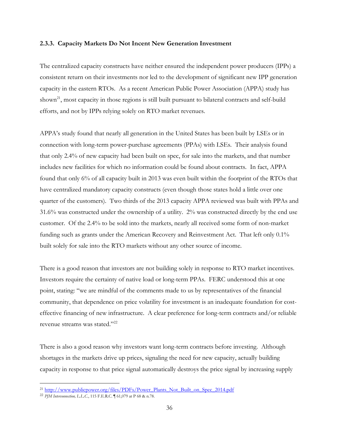#### <span id="page-35-0"></span>**2.3.3. Capacity Markets Do Not Incent New Generation Investment**

The centralized capacity constructs have neither ensured the independent power producers (IPPs) a consistent return on their investments nor led to the development of significant new IPP generation capacity in the eastern RTOs. As a recent American Public Power Association (APPA) study has shown<sup>21</sup>, most capacity in those regions is still built pursuant to bilateral contracts and self-build efforts, and not by IPPs relying solely on RTO market revenues.

APPA's study found that nearly all generation in the United States has been built by LSEs or in connection with long-term power-purchase agreements (PPAs) with LSEs. Their analysis found that only 2.4% of new capacity had been built on spec, for sale into the markets, and that number includes new facilities for which no information could be found about contracts. In fact, APPA found that only 6% of all capacity built in 2013 was even built within the footprint of the RTOs that have centralized mandatory capacity constructs (even though those states hold a little over one quarter of the customers). Two thirds of the 2013 capacity APPA reviewed was built with PPAs and 31.6% was constructed under the ownership of a utility. 2% was constructed directly by the end use customer. Of the 2.4% to be sold into the markets, nearly all received some form of non-market funding such as grants under the American Recovery and Reinvestment Act. That left only 0.1% built solely for sale into the RTO markets without any other source of income.

There is a good reason that investors are not building solely in response to RTO market incentives. Investors require the certainty of native load or long-term PPAs. FERC understood this at one point, stating: "we are mindful of the comments made to us by representatives of the financial community, that dependence on price volatility for investment is an inadequate foundation for costeffective financing of new infrastructure. A clear preference for long-term contracts and/or reliable revenue streams was stated."<sup>22</sup>

There is also a good reason why investors want long-term contracts before investing. Although shortages in the markets drive up prices, signaling the need for new capacity, actually building capacity in response to that price signal automatically destroys the price signal by increasing supply

<sup>&</sup>lt;sup>21</sup> [http://www.publicpower.org/files/PDFs/Power\\_Plants\\_Not\\_Built\\_on\\_Spec\\_2014.pdf](http://www.publicpower.org/files/PDFs/Power_Plants_Not_Built_on_Spec_2014.pdf)

<sup>22</sup> *PJM Interconnection, L.L.C.*, 115 F.E.R.C. ¶ 61,079 at P 68 & n.78.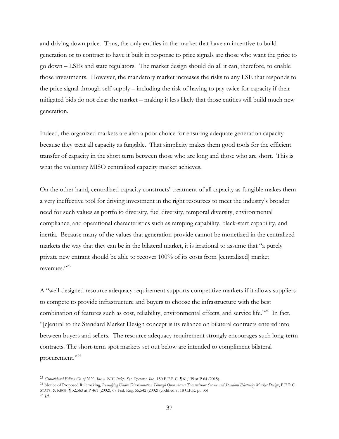and driving down price. Thus, the only entities in the market that have an incentive to build generation or to contract to have it built in response to price signals are those who want the price to go down – LSEs and state regulators. The market design should do all it can, therefore, to enable those investments. However, the mandatory market increases the risks to any LSE that responds to the price signal through self-supply – including the risk of having to pay twice for capacity if their mitigated bids do not clear the market – making it less likely that those entities will build much new generation.

Indeed, the organized markets are also a poor choice for ensuring adequate generation capacity because they treat all capacity as fungible. That simplicity makes them good tools for the efficient transfer of capacity in the short term between those who are long and those who are short. This is what the voluntary MISO centralized capacity market achieves.

On the other hand, centralized capacity constructs' treatment of all capacity as fungible makes them a very ineffective tool for driving investment in the right resources to meet the industry's broader need for such values as portfolio diversity, fuel diversity, temporal diversity, environmental compliance, and operational characteristics such as ramping capability, black-start capability, and inertia. Because many of the values that generation provide cannot be monetized in the centralized markets the way that they can be in the bilateral market, it is irrational to assume that "a purely private new entrant should be able to recover 100% of its costs from [centralized] market revenues."<sup>23</sup>

A "well-designed resource adequacy requirement supports competitive markets if it allows suppliers to compete to provide infrastructure and buyers to choose the infrastructure with the best combination of features such as cost, reliability, environmental effects, and service life."<sup>24</sup> In fact, "[c]entral to the Standard Market Design concept is its reliance on bilateral contracts entered into between buyers and sellers. The resource adequacy requirement strongly encourages such long-term contracts. The short-term spot markets set out below are intended to compliment bilateral procurement."<sup>25</sup>

<sup>23</sup> *Consolidated Edison Co. of N.Y., Inc. v. N.Y. Indep. Sys. Operator, Inc.*, 150 F.E.R.C. ¶ 61,139 at P 64 (2015).

<sup>24</sup> Notice of Proposed Rulemaking, *Remedying Undue Discrimination Through Open Access Transmission Service and Standard Electricity Market Design*, F.E.R.C. STATS. & REGS. ¶ 32,563 at P 461 (2002), 67 Fed. Reg. 55,542 (2002) (codified at 18 C.F.R. pt. 35)

<sup>25</sup> *Id.*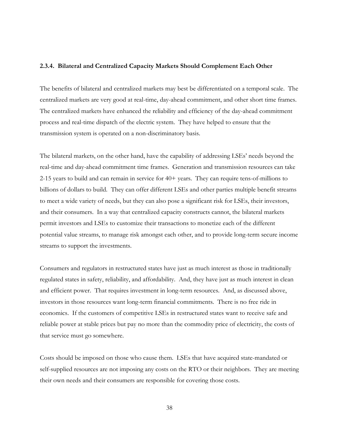#### **2.3.4. Bilateral and Centralized Capacity Markets Should Complement Each Other**

The benefits of bilateral and centralized markets may best be differentiated on a temporal scale. The centralized markets are very good at real-time, day-ahead commitment, and other short time frames. The centralized markets have enhanced the reliability and efficiency of the day-ahead commitment process and real-time dispatch of the electric system. They have helped to ensure that the transmission system is operated on a non-discriminatory basis.

The bilateral markets, on the other hand, have the capability of addressing LSEs' needs beyond the real-time and day-ahead commitment time frames. Generation and transmission resources can take 2-15 years to build and can remain in service for 40+ years. They can require tens-of-millions to billions of dollars to build. They can offer different LSEs and other parties multiple benefit streams to meet a wide variety of needs, but they can also pose a significant risk for LSEs, their investors, and their consumers. In a way that centralized capacity constructs cannot, the bilateral markets permit investors and LSEs to customize their transactions to monetize each of the different potential value streams, to manage risk amongst each other, and to provide long-term secure income streams to support the investments.

Consumers and regulators in restructured states have just as much interest as those in traditionally regulated states in safety, reliability, and affordability. And, they have just as much interest in clean and efficient power. That requires investment in long-term resources. And, as discussed above, investors in those resources want long-term financial commitments. There is no free ride in economics. If the customers of competitive LSEs in restructured states want to receive safe and reliable power at stable prices but pay no more than the commodity price of electricity, the costs of that service must go somewhere.

Costs should be imposed on those who cause them. LSEs that have acquired state-mandated or self-supplied resources are not imposing any costs on the RTO or their neighbors. They are meeting their own needs and their consumers are responsible for covering those costs.

38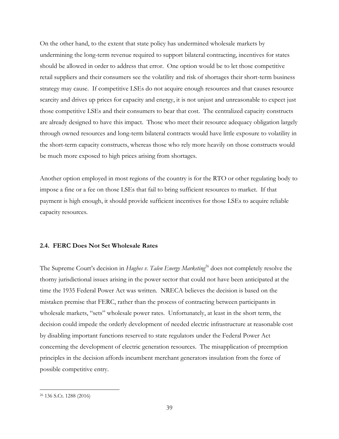On the other hand, to the extent that state policy has undermined wholesale markets by undermining the long-term revenue required to support bilateral contracting, incentives for states should be allowed in order to address that error. One option would be to let those competitive retail suppliers and their consumers see the volatility and risk of shortages their short-term business strategy may cause. If competitive LSEs do not acquire enough resources and that causes resource scarcity and drives up prices for capacity and energy, it is not unjust and unreasonable to expect just those competitive LSEs and their consumers to bear that cost. The centralized capacity constructs are already designed to have this impact. Those who meet their resource adequacy obligation largely through owned resources and long-term bilateral contracts would have little exposure to volatility in the short-term capacity constructs, whereas those who rely more heavily on those constructs would be much more exposed to high prices arising from shortages.

Another option employed in most regions of the country is for the RTO or other regulating body to impose a fine or a fee on those LSEs that fail to bring sufficient resources to market. If that payment is high enough, it should provide sufficient incentives for those LSEs to acquire reliable capacity resources.

#### **2.4. FERC Does Not Set Wholesale Rates**

The Supreme Court's decision in *Hughes v. Talen Energy Marketing*<sup>26</sup> does not completely resolve the thorny jurisdictional issues arising in the power sector that could not have been anticipated at the time the 1935 Federal Power Act was written. NRECA believes the decision is based on the mistaken premise that FERC, rather than the process of contracting between participants in wholesale markets, "sets" wholesale power rates. Unfortunately, at least in the short term, the decision could impede the orderly development of needed electric infrastructure at reasonable cost by disabling important functions reserved to state regulators under the Federal Power Act concerning the development of electric generation resources. The misapplication of preemption principles in the decision affords incumbent merchant generators insulation from the force of possible competitive entry.

<sup>26</sup> 136 S.Ct. 1288 (2016)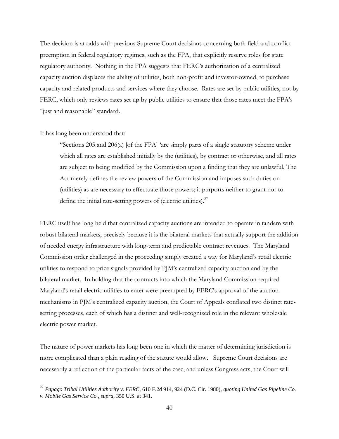The decision is at odds with previous Supreme Court decisions concerning both field and conflict preemption in federal regulatory regimes, such as the FPA, that explicitly reserve roles for state regulatory authority. Nothing in the FPA suggests that FERC's authorization of a centralized capacity auction displaces the ability of utilities, both non-profit and investor-owned, to purchase capacity and related products and services where they choose. Rates are set by public utilities, not by FERC, which only reviews rates set up by public utilities to ensure that those rates meet the FPA's "just and reasonable" standard.

#### It has long been understood that:

 $\overline{a}$ 

"Sections 205 and 206(a) [of the FPA] 'are simply parts of a single statutory scheme under which all rates are established initially by the (utilities), by contract or otherwise, and all rates are subject to being modified by the Commission upon a finding that they are unlawful. The Act merely defines the review powers of the Commission and imposes such duties on (utilities) as are necessary to effectuate those powers; it purports neither to grant nor to define the initial rate-setting powers of (electric utilities). $27$ 

FERC itself has long held that centralized capacity auctions are intended to operate in tandem with robust bilateral markets, precisely because it is the bilateral markets that actually support the addition of needed energy infrastructure with long-term and predictable contract revenues. The Maryland Commission order challenged in the proceeding simply created a way for Maryland's retail electric utilities to respond to price signals provided by PJM's centralized capacity auction and by the bilateral market. In holding that the contracts into which the Maryland Commission required Maryland's retail electric utilities to enter were preempted by FERC's approval of the auction mechanisms in PJM's centralized capacity auction, the Court of Appeals conflated two distinct ratesetting processes, each of which has a distinct and well-recognized role in the relevant wholesale electric power market.

The nature of power markets has long been one in which the matter of determining jurisdiction is more complicated than a plain reading of the statute would allow. Supreme Court decisions are necessarily a reflection of the particular facts of the case, and unless Congress acts, the Court will

<sup>27</sup> *Papago Tribal Utilities Authority v. FERC*, 610 F.2d 914, 924 (D.C. Cir. 1980), *quoting United Gas Pipeline Co. v. Mobile Gas Service Co.*, *supra*, 350 U.S. at 341.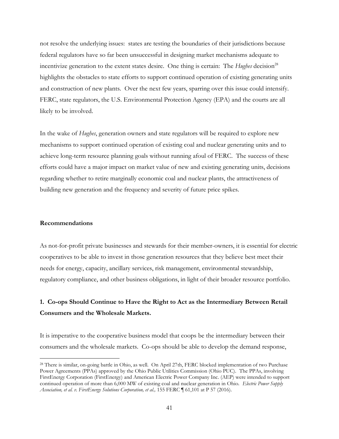not resolve the underlying issues: states are testing the boundaries of their jurisdictions because federal regulators have so far been unsuccessful in designing market mechanisms adequate to incentivize generation to the extent states desire. One thing is certain: The *Hughes* decision<sup>28</sup> highlights the obstacles to state efforts to support continued operation of existing generating units and construction of new plants. Over the next few years, sparring over this issue could intensify. FERC, state regulators, the U.S. Environmental Protection Agency (EPA) and the courts are all likely to be involved.

In the wake of *Hughes*, generation owners and state regulators will be required to explore new mechanisms to support continued operation of existing coal and nuclear generating units and to achieve long-term resource planning goals without running afoul of FERC. The success of these efforts could have a major impact on market value of new and existing generating units, decisions regarding whether to retire marginally economic coal and nuclear plants, the attractiveness of building new generation and the frequency and severity of future price spikes.

#### **Recommendations**

 $\overline{a}$ 

As not-for-profit private businesses and stewards for their member-owners, it is essential for electric cooperatives to be able to invest in those generation resources that they believe best meet their needs for energy, capacity, ancillary services, risk management, environmental stewardship, regulatory compliance, and other business obligations, in light of their broader resource portfolio.

## **1. Co-ops Should Continue to Have the Right to Act as the Intermediary Between Retail Consumers and the Wholesale Markets.**

It is imperative to the cooperative business model that coops be the intermediary between their consumers and the wholesale markets. Co-ops should be able to develop the demand response,

<sup>&</sup>lt;sup>28</sup> There is similar, on-going battle in Ohio, as well. On April 27th, FERC blocked implementation of two Purchase Power Agreements (PPAs) approved by the Ohio Public Utilities Commission (Ohio PUC). The PPAs, involving FirstEnergy Corporation (FirstEnergy) and American Electric Power Company Inc. (AEP) were intended to support continued operation of more than 6,000 MW of existing coal and nuclear generation in Ohio. *Electric Power Supply Association, et al. v. FirstEnergy Solutions Corporation, et al.,* 155 FERC ¶ 61,101 at P 57 (2016).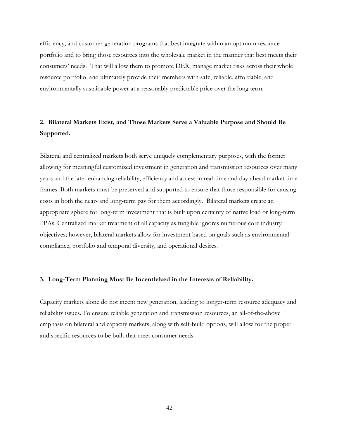efficiency, and customer-generation programs that best integrate within an optimum resource portfolio and to bring those resources into the wholesale market in the manner that best meets their consumers' needs. That will allow them to promote DER, manage market risks across their whole resource portfolio, and ultimately provide their members with safe, reliable, affordable, and environmentally sustainable power at a reasonably predictable price over the long term.

### **2. Bilateral Markets Exist, and Those Markets Serve a Valuable Purpose and Should Be Supported.**

Bilateral and centralized markets both serve uniquely complementary purposes, with the former allowing for meaningful customized investment in generation and transmission resources over many years and the later enhancing reliability, efficiency and access in real-time and day-ahead market time frames. Both markets must be preserved and supported to ensure that those responsible for causing costs in both the near- and long-term pay for them accordingly. Bilateral markets create an appropriate sphere for long-term investment that is built upon certainty of native load or long-term PPAs. Centralized market treatment of all capacity as fungible ignores numerous core industry objectives; however, bilateral markets allow for investment based on goals such as environmental compliance, portfolio and temporal diversity, and operational desires.

#### **3. Long-Term Planning Must Be Incentivized in the Interests of Reliability.**

Capacity markets alone do not incent new generation, leading to longer-term resource adequacy and reliability issues. To ensure reliable generation and transmission resources, an all-of-the-above emphasis on bilateral and capacity markets, along with self-build options, will allow for the proper and specific resources to be built that meet consumer needs.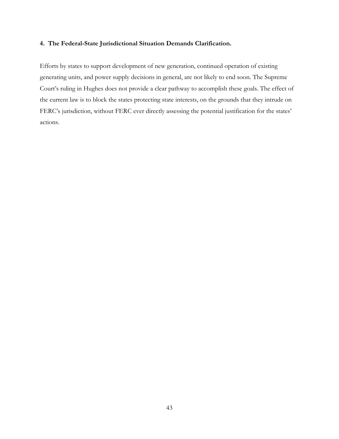### **4. The Federal-State Jurisdictional Situation Demands Clarification.**

Efforts by states to support development of new generation, continued operation of existing generating units, and power supply decisions in general, are not likely to end soon. The Supreme Court's ruling in Hughes does not provide a clear pathway to accomplish these goals. The effect of the current law is to block the states protecting state interests, on the grounds that they intrude on FERC's jurisdiction, without FERC ever directly assessing the potential justification for the states' actions.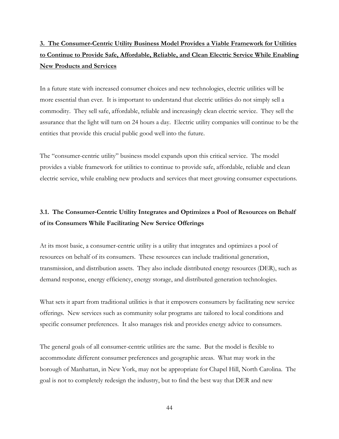# **3. The Consumer-Centric Utility Business Model Provides a Viable Framework for Utilities to Continue to Provide Safe, Affordable, Reliable, and Clean Electric Service While Enabling New Products and Services**

In a future state with increased consumer choices and new technologies, electric utilities will be more essential than ever. It is important to understand that electric utilities do not simply sell a commodity. They sell safe, affordable, reliable and increasingly clean electric service. They sell the assurance that the light will turn on 24 hours a day. Electric utility companies will continue to be the entities that provide this crucial public good well into the future.

The "consumer-centric utility" business model expands upon this critical service. The model provides a viable framework for utilities to continue to provide safe, affordable, reliable and clean electric service, while enabling new products and services that meet growing consumer expectations.

### **3.1. The Consumer-Centric Utility Integrates and Optimizes a Pool of Resources on Behalf of its Consumers While Facilitating New Service Offerings**

At its most basic, a consumer-centric utility is a utility that integrates and optimizes a pool of resources on behalf of its consumers. These resources can include traditional generation, transmission, and distribution assets. They also include distributed energy resources (DER), such as demand response, energy efficiency, energy storage, and distributed generation technologies.

What sets it apart from traditional utilities is that it empowers consumers by facilitating new service offerings. New services such as community solar programs are tailored to local conditions and specific consumer preferences. It also manages risk and provides energy advice to consumers.

The general goals of all consumer-centric utilities are the same. But the model is flexible to accommodate different consumer preferences and geographic areas. What may work in the borough of Manhattan, in New York, may not be appropriate for Chapel Hill, North Carolina. The goal is not to completely redesign the industry, but to find the best way that DER and new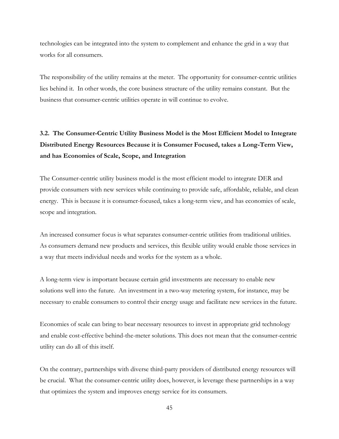technologies can be integrated into the system to complement and enhance the grid in a way that works for all consumers.

The responsibility of the utility remains at the meter. The opportunity for consumer-centric utilities lies behind it. In other words, the core business structure of the utility remains constant. But the business that consumer-centric utilities operate in will continue to evolve.

# **3.2. The Consumer-Centric Utility Business Model is the Most Efficient Model to Integrate Distributed Energy Resources Because it is Consumer Focused, takes a Long-Term View, and has Economies of Scale, Scope, and Integration**

The Consumer-centric utility business model is the most efficient model to integrate DER and provide consumers with new services while continuing to provide safe, affordable, reliable, and clean energy. This is because it is consumer-focused, takes a long-term view, and has economies of scale, scope and integration.

An increased consumer focus is what separates consumer-centric utilities from traditional utilities. As consumers demand new products and services, this flexible utility would enable those services in a way that meets individual needs and works for the system as a whole.

A long-term view is important because certain grid investments are necessary to enable new solutions well into the future. An investment in a two-way metering system, for instance, may be necessary to enable consumers to control their energy usage and facilitate new services in the future.

Economies of scale can bring to bear necessary resources to invest in appropriate grid technology and enable cost-effective behind-the-meter solutions. This does not mean that the consumer-centric utility can do all of this itself.

On the contrary, partnerships with diverse third-party providers of distributed energy resources will be crucial. What the consumer-centric utility does, however, is leverage these partnerships in a way that optimizes the system and improves energy service for its consumers.

45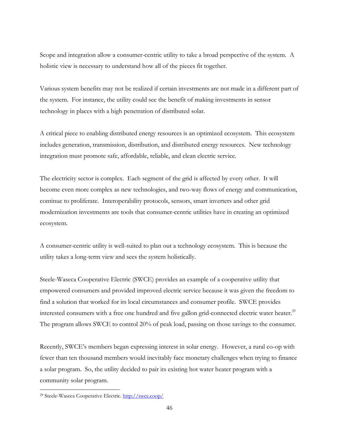Scope and integration allow a consumer-centric utility to take a broad perspective of the system. A holistic view is necessary to understand how all of the pieces fit together.

Various system benefits may not be realized if certain investments are not made in a different part of the system. For instance, the utility could see the benefit of making investments in sensor technology in places with a high penetration of distributed solar.

A critical piece to enabling distributed energy resources is an optimized ecosystem. This ecosystem includes generation, transmission, distribution, and distributed energy resources. New technology integration must promote safe, affordable, reliable, and clean electric service.

The electricity sector is complex. Each segment of the grid is affected by every other. It will become even more complex as new technologies, and two-way flows of energy and communication, continue to proliferate. Interoperability protocols, sensors, smart inverters and other grid modernization investments are tools that consumer-centric utilities have in creating an optimized ecosystem.

A consumer-centric utility is well-suited to plan out a technology ecosystem. This is because the utility takes a long-term view and sees the system holistically.

Steele-Waseca Cooperative Electric (SWCE) provides an example of a cooperative utility that empowered consumers and provided improved electric service because it was given the freedom to find a solution that worked for its local circumstances and consumer profile. SWCE provides interested consumers with a free one hundred and five gallon grid-connected electric water heater. $^{29}$ The program allows SWCE to control 20% of peak load, passing on those savings to the consumer.

Recently, SWCE's members began expressing interest in solar energy. However, a rural co-op with fewer than ten thousand members would inevitably face monetary challenges when trying to finance a solar program. So, the utility decided to pair its existing hot water heater program with a community solar program.

<sup>29</sup> Steele-Waseca Cooperative Electric.<http://swce.coop/>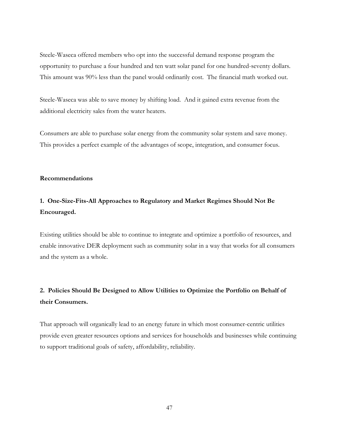Steele-Waseca offered members who opt into the successful demand response program the opportunity to purchase a four hundred and ten watt solar panel for one hundred-seventy dollars. This amount was 90% less than the panel would ordinarily cost. The financial math worked out.

Steele-Waseca was able to save money by shifting load. And it gained extra revenue from the additional electricity sales from the water heaters.

Consumers are able to purchase solar energy from the community solar system and save money. This provides a perfect example of the advantages of scope, integration, and consumer focus.

### **Recommendations**

## **1. One-Size-Fits-All Approaches to Regulatory and Market Regimes Should Not Be Encouraged.**

Existing utilities should be able to continue to integrate and optimize a portfolio of resources, and enable innovative DER deployment such as community solar in a way that works for all consumers and the system as a whole.

## **2. Policies Should Be Designed to Allow Utilities to Optimize the Portfolio on Behalf of their Consumers.**

That approach will organically lead to an energy future in which most consumer-centric utilities provide even greater resources options and services for households and businesses while continuing to support traditional goals of safety, affordability, reliability.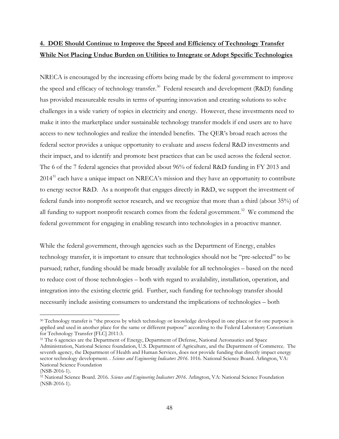## **4. DOE Should Continue to Improve the Speed and Efficiency of Technology Transfer While Not Placing Undue Burden on Utilities to Integrate or Adopt Specific Technologies**

NRECA is encouraged by the increasing efforts being made by the federal government to improve the speed and efficacy of technology transfer.<sup>30</sup> Federal research and development (R&D) funding has provided measureable results in terms of spurring innovation and creating solutions to solve challenges in a wide variety of topics in electricity and energy. However, these investments need to make it into the marketplace under sustainable technology transfer models if end users are to have access to new technologies and realize the intended benefits. The QER's broad reach across the federal sector provides a unique opportunity to evaluate and assess federal R&D investments and their impact, and to identify and promote best practices that can be used across the federal sector. The 6 of the 7 federal agencies that provided about 96% of federal R&D funding in FY 2013 and  $2014<sup>31</sup>$  each have a unique impact on NRECA's mission and they have an opportunity to contribute to energy sector R&D. As a nonprofit that engages directly in R&D, we support the investment of federal funds into nonprofit sector research, and we recognize that more than a third (about 35%) of all funding to support nonprofit research comes from the federal government.<sup>32</sup> We commend the federal government for engaging in enabling research into technologies in a proactive manner.

While the federal government, through agencies such as the Department of Energy, enables technology transfer, it is important to ensure that technologies should not be "pre-selected" to be pursued; rather, funding should be made broadly available for all technologies – based on the need to reduce cost of those technologies – both with regard to availability, installation, operation, and integration into the existing electric grid. Further, such funding for technology transfer should necessarily include assisting consumers to understand the implications of technologies – both

<sup>&</sup>lt;sup>30</sup> Technology transfer is "the process by which technology or knowledge developed in one place or for one purpose is applied and used in another place for the same or different purpose" according to the Federal Laboratory Consortium for Technology Transfer [FLC] 2011:3.

<sup>&</sup>lt;sup>31</sup> The 6 agencies are the Department of Energy, Department of Defense, National Aeronautics and Space Administration, National Science foundation, U.S. Department of Agriculture, and the Department of Commerce. The seventh agency, the Department of Health and Human Services, does not provide funding that directly impact energy sector technology development. . *Science and Engineering Indicators 2016*. 1016. National Science Board. Arlington, VA: National Science Foundation

<sup>(</sup>NSB-2016-1).

<sup>32</sup> National Science Board. 2016. *Science and Engineering Indicators 2016*. Arlington, VA: National Science Foundation (NSB-2016-1).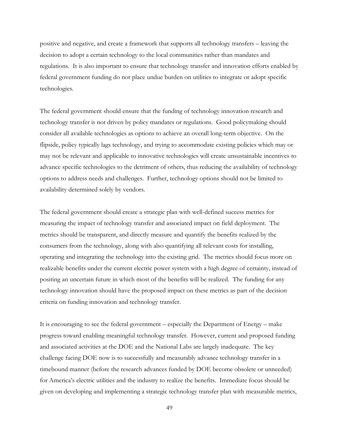positive and negative, and create a framework that supports all technology transfers – leaving the decision to adopt a certain technology to the local communities rather than mandates and regulations. It is also important to ensure that technology transfer and innovation efforts enabled by federal government funding do not place undue burden on utilities to integrate or adopt specific technologies.

The federal government should ensure that the funding of technology innovation research and technology transfer is not driven by policy mandates or regulations. Good policymaking should consider all available technologies as options to achieve an overall long-term objective. On the flipside, policy typically lags technology, and trying to accommodate existing policies which may or may not be relevant and applicable to innovative technologies will create unsustainable incentives to advance specific technologies to the detriment of others, thus reducing the availability of technology options to address needs and challenges. Further, technology options should not be limited to availability determined solely by vendors.

The federal government should create a strategic plan with well-defined success metrics for measuring the impact of technology transfer and associated impact on field deployment. The metrics should be transparent, and directly measure and quantify the benefits realized by the consumers from the technology, along with also quantifying all relevant costs for installing, operating and integrating the technology into the existing grid. The metrics should focus more on realizable benefits under the current electric power system with a high degree of certainty, instead of positing an uncertain future in which most of the benefits will be realized. The funding for any technology innovation should have the proposed impact on these metrics as part of the decision criteria on funding innovation and technology transfer.

It is encouraging to see the federal government – especially the Department of Energy – make progress toward enabling meaningful technology transfer. However, current and proposed funding and associated activities at the DOE and the National Labs are largely inadequate. The key challenge facing DOE now is to successfully and measurably advance technology transfer in a timebound manner (before the research advances funded by DOE become obsolete or unneeded) for America's electric utilities and the industry to realize the benefits. Immediate focus should be given on developing and implementing a strategic technology transfer plan with measurable metrics,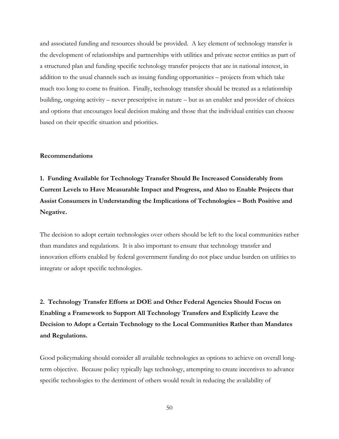and associated funding and resources should be provided. A key element of technology transfer is the development of relationships and partnerships with utilities and private sector entities as part of a structured plan and funding specific technology transfer projects that are in national interest, in addition to the usual channels such as issuing funding opportunities – projects from which take much too long to come to fruition. Finally, technology transfer should be treated as a relationship building, ongoing activity – never prescriptive in nature – but as an enabler and provider of choices and options that encourages local decision making and those that the individual entities can choose based on their specific situation and priorities.

### **Recommendations**

**1. Funding Available for Technology Transfer Should Be Increased Considerably from Current Levels to Have Measurable Impact and Progress, and Also to Enable Projects that Assist Consumers in Understanding the Implications of Technologies – Both Positive and Negative.**

The decision to adopt certain technologies over others should be left to the local communities rather than mandates and regulations. It is also important to ensure that technology transfer and innovation efforts enabled by federal government funding do not place undue burden on utilities to integrate or adopt specific technologies.

**2. Technology Transfer Efforts at DOE and Other Federal Agencies Should Focus on Enabling a Framework to Support All Technology Transfers and Explicitly Leave the Decision to Adopt a Certain Technology to the Local Communities Rather than Mandates and Regulations.**

Good policymaking should consider all available technologies as options to achieve on overall longterm objective. Because policy typically lags technology, attempting to create incentives to advance specific technologies to the detriment of others would result in reducing the availability of

50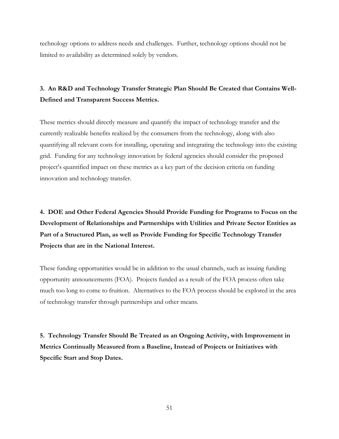technology options to address needs and challenges. Further, technology options should not be limited to availability as determined solely by vendors.

## **3. An R&D and Technology Transfer Strategic Plan Should Be Created that Contains Well-Defined and Transparent Success Metrics.**

These metrics should directly measure and quantify the impact of technology transfer and the currently realizable benefits realized by the consumers from the technology, along with also quantifying all relevant costs for installing, operating and integrating the technology into the existing grid. Funding for any technology innovation by federal agencies should consider the proposed project's quantified impact on these metrics as a key part of the decision criteria on funding innovation and technology transfer.

**4. DOE and Other Federal Agencies Should Provide Funding for Programs to Focus on the Development of Relationships and Partnerships with Utilities and Private Sector Entities as Part of a Structured Plan, as well as Provide Funding for Specific Technology Transfer Projects that are in the National Interest.**

These funding opportunities would be in addition to the usual channels, such as issuing funding opportunity announcements (FOA). Projects funded as a result of the FOA process often take much too long to come to fruition. Alternatives to the FOA process should be explored in the area of technology transfer through partnerships and other means.

**5. Technology Transfer Should Be Treated as an Ongoing Activity, with Improvement in Metrics Continually Measured from a Baseline, Instead of Projects or Initiatives with Specific Start and Stop Dates.**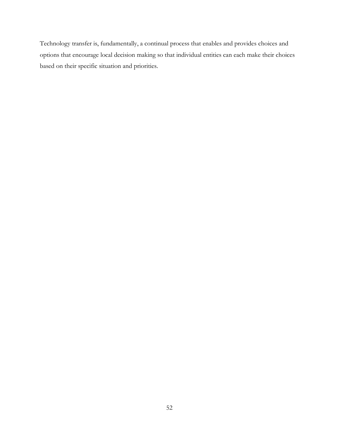Technology transfer is, fundamentally, a continual process that enables and provides choices and options that encourage local decision making so that individual entities can each make their choices based on their specific situation and priorities.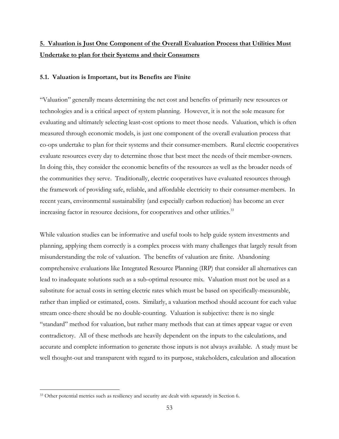## **5. Valuation is Just One Component of the Overall Evaluation Process that Utilities Must Undertake to plan for their Systems and their Consumers**

#### **5.1. Valuation is Important, but its Benefits are Finite**

"Valuation" generally means determining the net cost and benefits of primarily new resources or technologies and is a critical aspect of system planning. However, it is not the sole measure for evaluating and ultimately selecting least-cost options to meet those needs. Valuation, which is often measured through economic models, is just one component of the overall evaluation process that co-ops undertake to plan for their systems and their consumer-members. Rural electric cooperatives evaluate resources every day to determine those that best meet the needs of their member-owners. In doing this, they consider the economic benefits of the resources as well as the broader needs of the communities they serve. Traditionally, electric cooperatives have evaluated resources through the framework of providing safe, reliable, and affordable electricity to their consumer-members. In recent years, environmental sustainability (and especially carbon reduction) has become an ever increasing factor in resource decisions, for cooperatives and other utilities.<sup>33</sup>

While valuation studies can be informative and useful tools to help guide system investments and planning, applying them correctly is a complex process with many challenges that largely result from misunderstanding the role of valuation. The benefits of valuation are finite. Abandoning comprehensive evaluations like Integrated Resource Planning (IRP) that consider all alternatives can lead to inadequate solutions such as a sub-optimal resource mix. Valuation must not be used as a substitute for actual costs in setting electric rates which must be based on specifically-measurable, rather than implied or estimated, costs. Similarly, a valuation method should account for each value stream once-there should be no double-counting. Valuation is subjective: there is no single "standard" method for valuation, but rather many methods that can at times appear vague or even contradictory. All of these methods are heavily dependent on the inputs to the calculations, and accurate and complete information to generate those inputs is not always available. A study must be well thought-out and transparent with regard to its purpose, stakeholders, calculation and allocation

<sup>&</sup>lt;sup>33</sup> Other potential metrics such as resiliency and security are dealt with separately in Section 6.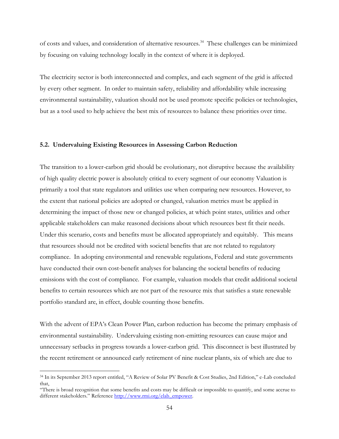of costs and values, and consideration of alternative resources.<sup>34</sup> These challenges can be minimized by focusing on valuing technology locally in the context of where it is deployed.

The electricity sector is both interconnected and complex, and each segment of the grid is affected by every other segment. In order to maintain safety, reliability and affordability while increasing environmental sustainability, valuation should not be used promote specific policies or technologies, but as a tool used to help achieve the best mix of resources to balance these priorities over time.

#### **5.2. Undervaluing Existing Resources in Assessing Carbon Reduction**

The transition to a lower-carbon grid should be evolutionary, not disruptive because the availability of high quality electric power is absolutely critical to every segment of our economy Valuation is primarily a tool that state regulators and utilities use when comparing new resources. However, to the extent that national policies are adopted or changed, valuation metrics must be applied in determining the impact of those new or changed policies, at which point states, utilities and other applicable stakeholders can make reasoned decisions about which resources best fit their needs. Under this scenario, costs and benefits must be allocated appropriately and equitably. This means that resources should not be credited with societal benefits that are not related to regulatory compliance. In adopting environmental and renewable regulations, Federal and state governments have conducted their own cost-benefit analyses for balancing the societal benefits of reducing emissions with the cost of compliance. For example, valuation models that credit additional societal benefits to certain resources which are not part of the resource mix that satisfies a state renewable portfolio standard are, in effect, double counting those benefits.

With the advent of EPA's Clean Power Plan, carbon reduction has become the primary emphasis of environmental sustainability. Undervaluing existing non-emitting resources can cause major and unnecessary setbacks in progress towards a lower-carbon grid. This disconnect is best illustrated by the recent retirement or announced early retirement of nine nuclear plants, six of which are due to

<sup>34</sup> In its September 2013 report entitled, "A Review of Solar PV Benefit & Cost Studies, 2nd Edition," e-Lab concluded that,

<sup>&</sup>quot;There is broad recognition that some benefits and costs may be difficult or impossible to quantify, and some accrue to different stakeholders." Reference [http://www.rmi.org/elab\\_empower.](http://www.rmi.org/elab_empower)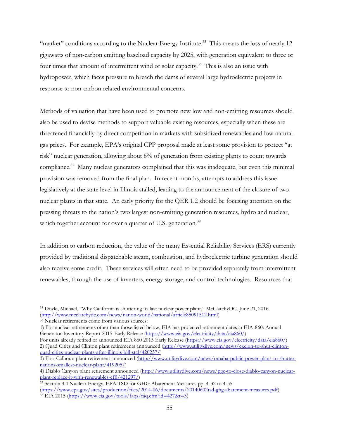"market" conditions according to the Nuclear Energy Institute.<sup>35</sup> This means the loss of nearly 12 gigawatts of non-carbon emitting baseload capacity by 2025, with generation equivalent to three or four times that amount of intermittent wind or solar capacity.<sup>36</sup> This is also an issue with hydropower, which faces pressure to breach the dams of several large hydroelectric projects in response to non-carbon related environmental concerns.

Methods of valuation that have been used to promote new low and non-emitting resources should also be used to devise methods to support valuable existing resources, especially when these are threatened financially by direct competition in markets with subsidized renewables and low natural gas prices. For example, EPA's original CPP proposal made at least some provision to protect "at risk" nuclear generation, allowing about 6% of generation from existing plants to count towards compliance.<sup>37</sup> Many nuclear generators complained that this was inadequate, but even this minimal provision was removed from the final plan. In recent months, attempts to address this issue legislatively at the state level in Illinois stalled, leading to the announcement of the closure of two nuclear plants in that state. An early priority for the QER 1.2 should be focusing attention on the pressing threats to the nation's two largest non-emitting generation resources, hydro and nuclear, which together account for over a quarter of U.S. generation.<sup>38</sup>

In addition to carbon reduction, the value of the many Essential Reliability Services (ERS) currently provided by traditional dispatchable steam, combustion, and hydroelectric turbine generation should also receive some credit. These services will often need to be provided separately from intermittent renewables, through the use of inverters, energy storage, and control technologies. Resources that

<sup>35</sup> Doyle, Michael. "Why California is shuttering its last nuclear power plant." McClatchyDC. June 21, 2016. [\(http://www.mcclatchydc.com/news/nation-world/national/article85091512.html\)](http://www.mcclatchydc.com/news/nation-world/national/article85091512.html)

<sup>&</sup>lt;sup>36</sup> Nuclear retirements come from various sources:

<sup>1)</sup> For nuclear retirements other than those listed below, EIA has projected retirement dates in EIA-860: Annual Generator Inventory Report 2015-Early Release [\(https://www.eia.gov/electricity/data/eia860/\)](https://www.eia.gov/electricity/data/eia860/)

For units already retired or announced EIA 860 2015 Early Release [\(https://www.eia.gov/electricity/data/eia860/\)](https://www.eia.gov/electricity/data/eia860/) 2) Quad Cities and Clinton plant retirements announced [\(http://www.utilitydive.com/news/exelon-to-shut-clinton](http://www.utilitydive.com/news/exelon-to-shut-clinton-quad-cities-nuclear-plants-after-illinois-bill-stal/420237/)[quad-cities-nuclear-plants-after-illinois-bill-stal/420237/\)](http://www.utilitydive.com/news/exelon-to-shut-clinton-quad-cities-nuclear-plants-after-illinois-bill-stal/420237/)

<sup>3)</sup> Fort Calhoun plant retirement announced [\(http://www.utilitydive.com/news/omaha-public-power-plans-to-shutter](http://www.utilitydive.com/news/omaha-public-power-plans-to-shutter-nations-smallest-nuclear-plant/419205/)[nations-smallest-nuclear-plant/419205/\)](http://www.utilitydive.com/news/omaha-public-power-plans-to-shutter-nations-smallest-nuclear-plant/419205/)

<sup>4)</sup> Diablo Canyon plant retirement announced [\(http://www.utilitydive.com/news/pge-to-close-diablo-canyon-nuclear](http://www.utilitydive.com/news/pge-to-close-diablo-canyon-nuclear-plant-replace-it-with-renewables-effi/421297/)[plant-replace-it-with-renewables-effi/421297/\)](http://www.utilitydive.com/news/pge-to-close-diablo-canyon-nuclear-plant-replace-it-with-renewables-effi/421297/)

 $\frac{37}{37}$  Section 4.4 Nuclear Energy, EPA TSD for GHG Abatement Measures pp. 4-32 to 4-35 [\(https://www.epa.gov/sites/production/files/2014-06/documents/20140602tsd-ghg-abatement-measures.pdf\)](https://www.epa.gov/sites/production/files/2014-06/documents/20140602tsd-ghg-abatement-measures.pdf) <sup>38</sup> EIA 2015 [\(https://www.eia.gov/tools/faqs/faq.cfm?id=427&t=3\)](https://www.eia.gov/tools/faqs/faq.cfm?id=427&t=3)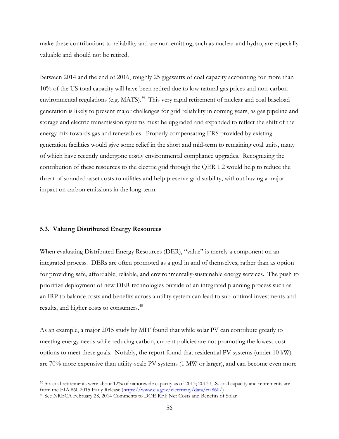make these contributions to reliability and are non-emitting, such as nuclear and hydro, are especially valuable and should not be retired.

Between 2014 and the end of 2016, roughly 25 gigawatts of coal capacity accounting for more than 10% of the US total capacity will have been retired due to low natural gas prices and non-carbon environmental regulations (e.g. MATS).<sup>39</sup> This very rapid retirement of nuclear and coal baseload generation is likely to present major challenges for grid reliability in coming years, as gas pipeline and storage and electric transmission systems must be upgraded and expanded to reflect the shift of the energy mix towards gas and renewables. Properly compensating ERS provided by existing generation facilities would give some relief in the short and mid-term to remaining coal units, many of which have recently undergone costly environmental compliance upgrades. Recognizing the contribution of these resources to the electric grid through the QER 1.2 would help to reduce the threat of stranded asset costs to utilities and help preserve grid stability, without having a major impact on carbon emissions in the long-term.

#### **5.3. Valuing Distributed Energy Resources**

 $\overline{a}$ 

When evaluating Distributed Energy Resources (DER), "value" is merely a component on an integrated process. DERs are often promoted as a goal in and of themselves, rather than as option for providing safe, affordable, reliable, and environmentally-sustainable energy services. The push to prioritize deployment of new DER technologies outside of an integrated planning process such as an IRP to balance costs and benefits across a utility system can lead to sub-optimal investments and results, and higher costs to consumers.<sup>40</sup>

As an example, a major 2015 study by MIT found that while solar PV can contribute greatly to meeting energy needs while reducing carbon, current policies are not promoting the lowest-cost options to meet these goals. Notably, the report found that residential PV systems (under 10 kW) are 70% more expensive than utility-scale PV systems (1 MW or larger), and can become even more

<sup>39</sup> Six coal retirements were about 12% of nationwide capacity as of 2013; 2013 U.S. coal capacity and retirements are from the EIA 860 2015 Early Release [\(https://www.eia.gov/electricity/data/eia860/\)](https://www.eia.gov/electricity/data/eia860/)

<sup>40</sup> See NRECA February 28, 2014 Comments to DOE RFI: Net Costs and Benefits of Solar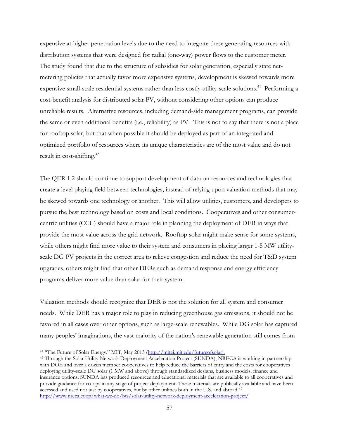expensive at higher penetration levels due to the need to integrate these generating resources with distribution systems that were designed for radial (one-way) power flows to the customer meter. The study found that due to the structure of subsidies for solar generation, especially state netmetering policies that actually favor more expensive systems, development is skewed towards more expensive small-scale residential systems rather than less costly utility-scale solutions.<sup>41</sup> Performing a cost-benefit analysis for distributed solar PV, without considering other options can produce unreliable results. Alternative resources, including demand-side management programs, can provide the same or even additional benefits (i.e., reliability) as PV. This is not to say that there is not a place for rooftop solar, but that when possible it should be deployed as part of an integrated and optimized portfolio of resources where its unique characteristics are of the most value and do not result in cost-shifting.<sup>42</sup>

The QER 1.2 should continue to support development of data on resources and technologies that create a level playing field between technologies, instead of relying upon valuation methods that may be skewed towards one technology or another. This will allow utilities, customers, and developers to pursue the best technology based on costs and local conditions. Cooperatives and other consumercentric utilities (CCU) should have a major role in planning the deployment of DER in ways that provide the most value across the grid network. Rooftop solar might make sense for some systems, while others might find more value to their system and consumers in placing larger 1-5 MW utilityscale DG PV projects in the correct area to relieve congestion and reduce the need for T&D system upgrades, others might find that other DERs such as demand response and energy efficiency programs deliver more value than solar for their system.

Valuation methods should recognize that DER is not the solution for all system and consumer needs. While DER has a major role to play in reducing greenhouse gas emissions, it should not be favored in all cases over other options, such as large-scale renewables. While DG solar has captured many peoples' imaginations, the vast majority of the nation's renewable generation still comes from

<sup>41</sup> "The Future of Solar Energy." MIT, May 2015 ([http://mitei.mit.edu/futureofsolar\)](http://mitei.mit.edu/futureofsolar).

<sup>42</sup> Through the Solar Utility Network Deployment Acceleration Project (SUNDA), NRECA is working in partnership with DOE and over a dozen member cooperatives to help reduce the barriers of entry and the costs for cooperatives deploying utility-scale DG solar (1 MW and above) through standardized designs, business models, finance and insurance options. SUNDA has produced resources and educational materials that are available to all cooperatives and provide guidance for co-ops in any stage of project deployment. These materials are publically available and have been accessed and used not just by cooperatives, but by other utilities both in the U.S. and abroad.<sup>42</sup> <http://www.nreca.coop/what-we-do/bts/solar-utility-network-deployment-acceleration-project/>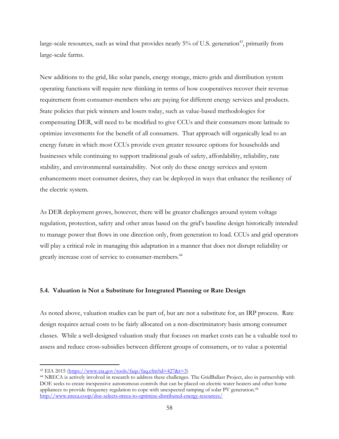large-scale resources, such as wind that provides nearly  $5\%$  of U.S. generation<sup>43</sup>, primarily from large-scale farms.

New additions to the grid, like solar panels, energy storage, micro grids and distribution system operating functions will require new thinking in terms of how cooperatives recover their revenue requirement from consumer-members who are paying for different energy services and products. State policies that pick winners and losers today, such as value-based methodologies for compensating DER, will need to be modified to give CCUs and their consumers more latitude to optimize investments for the benefit of all consumers. That approach will organically lead to an energy future in which most CCUs provide even greater resource options for households and businesses while continuing to support traditional goals of safety, affordability, reliability, rate stability, and environmental sustainability. Not only do these energy services and system enhancements meet consumer desires, they can be deployed in ways that enhance the resiliency of the electric system.

As DER deployment grows, however, there will be greater challenges around system voltage regulation, protection, safety and other areas based on the grid's baseline design historically intended to manage power that flows in one direction only, from generation to load. CCUs and grid operators will play a critical role in managing this adaptation in a manner that does not disrupt reliability or greatly increase cost of service to consumer-members.<sup>44</sup>

### **5.4. Valuation is Not a Substitute for Integrated Planning or Rate Design**

As noted above, valuation studies can be part of, but are not a substitute for, an IRP process. Rate design requires actual costs to be fairly allocated on a non-discriminatory basis among consumer classes. While a well-designed valuation study that focuses on market costs can be a valuable tool to assess and reduce cross-subsidies between different groups of consumers, or to value a potential

 $43$  EIA 2015 [\(https://www.eia.gov/tools/faqs/faq.cfm?id=427&t=3\)](https://www.eia.gov/tools/faqs/faq.cfm?id=427&t=3)

<sup>44</sup> NRECA is actively involved in research to address these challenges. The GridBallast Project, also in partnership with DOE seeks to create inexpensive autonomous controls that can be placed on electric water heaters and other home appliances to provide frequency regulation to cope with unexpected ramping of solar PV generation.<sup>44</sup> <http://www.nreca.coop/doe-selects-nreca-to-optimize-distributed-energy-resources/>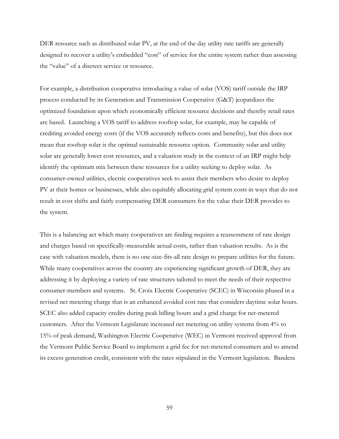DER resource such as distributed solar PV, at the end of the day utility rate tariffs are generally designed to recover a utility's embedded "cost" of service for the entire system rather than assessing the "value" of a discreet service or resource.

For example, a distribution cooperative introducing a value of solar (VOS) tariff outside the IRP process conducted by its Generation and Transmission Cooperative (G&T) jeopardizes the optimized foundation upon which economically efficient resource decisions and thereby retail rates are based. Launching a VOS tariff to address rooftop solar, for example, may be capable of crediting avoided energy costs (if the VOS accurately reflects costs and benefits), but this does not mean that rooftop solar is the optimal sustainable resource option. Community solar and utility solar are generally lower cost resources, and a valuation study in the context of an IRP might help identify the optimum mix between these resources for a utility seeking to deploy solar. As consumer-owned utilities, electric cooperatives seek to assist their members who desire to deploy PV at their homes or businesses, while also equitably allocating grid system costs in ways that do not result in cost shifts and fairly compensating DER consumers for the value their DER provides to the system.

This is a balancing act which many cooperatives are finding requires a reassessment of rate design and charges based on specifically-measurable actual costs, rather than valuation results. As is the case with valuation models, there is no one-size-fits-all rate design to prepare utilities for the future. While many cooperatives across the country are experiencing significant growth of DER, they are addressing it by deploying a variety of rate structures tailored to meet the needs of their respective consumer-members and systems. St. Croix Electric Cooperative (SCEC) in Wisconsin phased in a revised net metering charge that is an enhanced avoided cost rate that considers daytime solar hours. SCEC also added capacity credits during peak billing hours and a grid charge for net-metered customers. After the Vermont Legislature increased net metering on utility systems from 4% to 15% of peak demand, Washington Electric Cooperative (WEC) in Vermont received approval from the Vermont Public Service Board to implement a grid fee for net-metered consumers and to amend its excess generation credit, consistent with the rates stipulated in the Vermont legislation. Bandera

59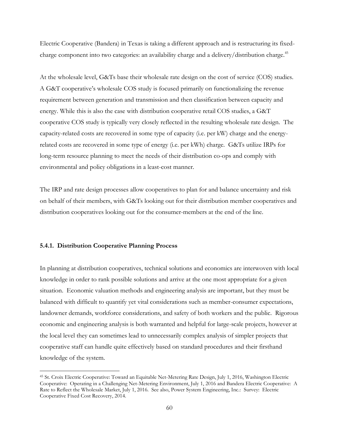Electric Cooperative (Bandera) in Texas is taking a different approach and is restructuring its fixedcharge component into two categories: an availability charge and a delivery/distribution charge.<sup>45</sup>

At the wholesale level, G&Ts base their wholesale rate design on the cost of service (COS) studies. A G&T cooperative's wholesale COS study is focused primarily on functionalizing the revenue requirement between generation and transmission and then classification between capacity and energy. While this is also the case with distribution cooperative retail COS studies, a G&T cooperative COS study is typically very closely reflected in the resulting wholesale rate design. The capacity-related costs are recovered in some type of capacity (i.e. per kW) charge and the energyrelated costs are recovered in some type of energy (i.e. per kWh) charge. G&Ts utilize IRPs for long-term resource planning to meet the needs of their distribution co-ops and comply with environmental and policy obligations in a least-cost manner.

The IRP and rate design processes allow cooperatives to plan for and balance uncertainty and risk on behalf of their members, with G&Ts looking out for their distribution member cooperatives and distribution cooperatives looking out for the consumer-members at the end of the line.

#### **5.4.1. Distribution Cooperative Planning Process**

 $\overline{a}$ 

In planning at distribution cooperatives, technical solutions and economics are interwoven with local knowledge in order to rank possible solutions and arrive at the one most appropriate for a given situation. Economic valuation methods and engineering analysis are important, but they must be balanced with difficult to quantify yet vital considerations such as member-consumer expectations, landowner demands, workforce considerations, and safety of both workers and the public. Rigorous economic and engineering analysis is both warranted and helpful for large-scale projects, however at the local level they can sometimes lead to unnecessarily complex analysis of simpler projects that cooperative staff can handle quite effectively based on standard procedures and their firsthand knowledge of the system.

<sup>45</sup> St. Croix Electric Cooperative: Toward an Equitable Net-Metering Rate Design, July 1, 2016, Washington Electric Cooperative: Operating in a Challenging Net-Metering Environment, July 1, 2016 and Bandera Electric Cooperative: A Rate to Reflect the Wholesale Market, July 1, 2016. See also, Power System Engineering, Inc.: Survey: Electric Cooperative Fixed Cost Recovery, 2014.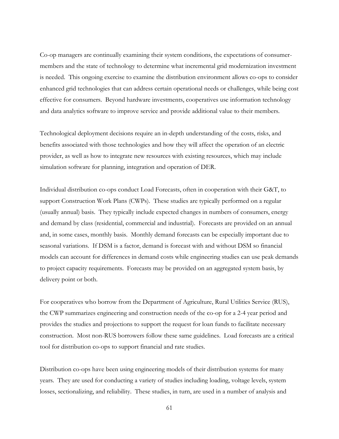Co-op managers are continually examining their system conditions, the expectations of consumermembers and the state of technology to determine what incremental grid modernization investment is needed. This ongoing exercise to examine the distribution environment allows co-ops to consider enhanced grid technologies that can address certain operational needs or challenges, while being cost effective for consumers. Beyond hardware investments, cooperatives use information technology and data analytics software to improve service and provide additional value to their members.

Technological deployment decisions require an in-depth understanding of the costs, risks, and benefits associated with those technologies and how they will affect the operation of an electric provider, as well as how to integrate new resources with existing resources, which may include simulation software for planning, integration and operation of DER.

Individual distribution co-ops conduct Load Forecasts, often in cooperation with their G&T, to support Construction Work Plans (CWPs). These studies are typically performed on a regular (usually annual) basis. They typically include expected changes in numbers of consumers, energy and demand by class (residential, commercial and industrial). Forecasts are provided on an annual and, in some cases, monthly basis. Monthly demand forecasts can be especially important due to seasonal variations. If DSM is a factor, demand is forecast with and without DSM so financial models can account for differences in demand costs while engineering studies can use peak demands to project capacity requirements. Forecasts may be provided on an aggregated system basis, by delivery point or both.

For cooperatives who borrow from the Department of Agriculture, Rural Utilities Service (RUS), the CWP summarizes engineering and construction needs of the co-op for a 2-4 year period and provides the studies and projections to support the request for loan funds to facilitate necessary construction. Most non-RUS borrowers follow these same guidelines. Load forecasts are a critical tool for distribution co-ops to support financial and rate studies.

Distribution co-ops have been using engineering models of their distribution systems for many years. They are used for conducting a variety of studies including loading, voltage levels, system losses, sectionalizing, and reliability. These studies, in turn, are used in a number of analysis and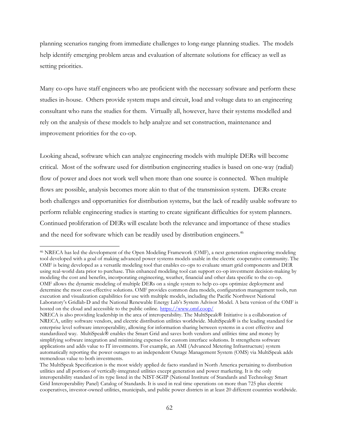planning scenarios ranging from immediate challenges to long-range planning studies. The models help identify emerging problem areas and evaluation of alternate solutions for efficacy as well as setting priorities.

Many co-ops have staff engineers who are proficient with the necessary software and perform these studies in-house. Others provide system maps and circuit, load and voltage data to an engineering consultant who runs the studies for them. Virtually all, however, have their systems modelled and rely on the analysis of these models to help analyze and set construction, maintenance and improvement priorities for the co-op.

Looking ahead, software which can analyze engineering models with multiple DERs will become critical. Most of the software used for distribution engineering studies is based on one-way (radial) flow of power and does not work well when more than one source is connected. When multiple flows are possible, analysis becomes more akin to that of the transmission system. DERs create both challenges and opportunities for distribution systems, but the lack of readily usable software to perform reliable engineering studies is starting to create significant difficulties for system planners. Continued proliferation of DERs will escalate both the relevance and importance of these studies and the need for software which can be readily used by distribution engineers.<sup>46</sup>

<sup>46</sup> NRECA has led the development of the Open Modeling Framework (OMF), a next generation engineering modeling tool developed with a goal of making advanced power systems models usable in the electric cooperative community. The OMF is being developed as a versatile modeling tool that enables co-ops to evaluate smart grid components and DER using real-world data prior to purchase. This enhanced modeling tool can support co-op investment decision-making by modeling the cost and benefits, incorporating engineering, weather, financial and other data specific to the co-op. OMF allows the dynamic modeling of multiple DERs on a single system to help co-ops optimize deployment and determine the most cost-effective solutions. OMF provides common data models, configuration management tools, run execution and visualization capabilities for use with multiple models, including the Pacific Northwest National Laboratory's Gridlab-D and the National Renewable Energy Lab's System Advisor Model. A beta version of the OMF is hosted on the cloud and accessible to the public online. <https://www.omf.coop/>

NRECA is also providing leadership in the area of interoperability. The MultiSpeak® Initiative is a collaboration of NRECA, utility software vendors, and electric distribution utilities worldwide. MultiSpeak® is the leading standard for enterprise level software interoperability, allowing for information sharing between systems in a cost effective and standardized way. MultiSpeak® enables the Smart Grid and saves both vendors and utilities time and money by simplifying software integration and minimizing expenses for custom interface solutions. It strengthens software applications and adds value to IT investments. For example, an AMI (Advanced Metering Infrastructure) system automatically reporting the power outages to an independent Outage Management System (OMS) via MultiSpeak adds tremendous value to both investments.

The MultiSpeak Specification is the most widely applied de facto standard in North America pertaining to distribution utilities and all portions of vertically-integrated utilities except generation and power marketing. It is the only interoperability standard of its type listed in the NIST-SGIP (National Institute of Standards and Technology Smart Grid Interoperability Panel) Catalog of Standards. It is used in real time operations on more than 725 plus electric cooperatives, investor-owned utilities, municipals, and public power districts in at least 20 different countries worldwide.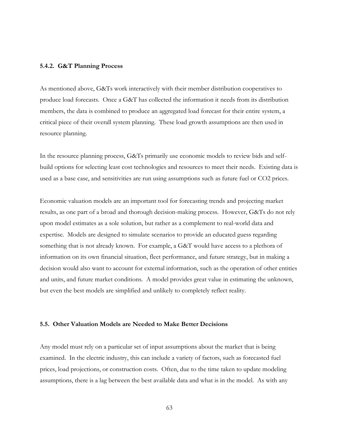#### **5.4.2. G&T Planning Process**

As mentioned above, G&Ts work interactively with their member distribution cooperatives to produce load forecasts. Once a G&T has collected the information it needs from its distribution members, the data is combined to produce an aggregated load forecast for their entire system, a critical piece of their overall system planning. These load growth assumptions are then used in resource planning.

In the resource planning process, G&Ts primarily use economic models to review bids and selfbuild options for selecting least cost technologies and resources to meet their needs. Existing data is used as a base case, and sensitivities are run using assumptions such as future fuel or CO2 prices.

Economic valuation models are an important tool for forecasting trends and projecting market results, as one part of a broad and thorough decision-making process. However, G&Ts do not rely upon model estimates as a sole solution, but rather as a complement to real-world data and expertise. Models are designed to simulate scenarios to provide an educated guess regarding something that is not already known. For example, a G&T would have access to a plethora of information on its own financial situation, fleet performance, and future strategy, but in making a decision would also want to account for external information, such as the operation of other entities and units, and future market conditions. A model provides great value in estimating the unknown, but even the best models are simplified and unlikely to completely reflect reality.

#### **5.5. Other Valuation Models are Needed to Make Better Decisions**

Any model must rely on a particular set of input assumptions about the market that is being examined. In the electric industry, this can include a variety of factors, such as forecasted fuel prices, load projections, or construction costs. Often, due to the time taken to update modeling assumptions, there is a lag between the best available data and what is in the model. As with any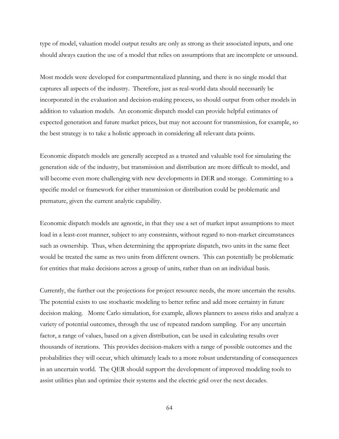type of model, valuation model output results are only as strong as their associated inputs, and one should always caution the use of a model that relies on assumptions that are incomplete or unsound.

Most models were developed for compartmentalized planning, and there is no single model that captures all aspects of the industry. Therefore, just as real-world data should necessarily be incorporated in the evaluation and decision-making process, so should output from other models in addition to valuation models. An economic dispatch model can provide helpful estimates of expected generation and future market prices, but may not account for transmission, for example, so the best strategy is to take a holistic approach in considering all relevant data points.

Economic dispatch models are generally accepted as a trusted and valuable tool for simulating the generation side of the industry, but transmission and distribution are more difficult to model, and will become even more challenging with new developments in DER and storage. Committing to a specific model or framework for either transmission or distribution could be problematic and premature, given the current analytic capability.

Economic dispatch models are agnostic, in that they use a set of market input assumptions to meet load in a least-cost manner, subject to any constraints, without regard to non-market circumstances such as ownership. Thus, when determining the appropriate dispatch, two units in the same fleet would be treated the same as two units from different owners. This can potentially be problematic for entities that make decisions across a group of units, rather than on an individual basis.

Currently, the further out the projections for project resource needs, the more uncertain the results. The potential exists to use stochastic modeling to better refine and add more certainty in future decision making. Monte Carlo simulation, for example, allows planners to assess risks and analyze a variety of potential outcomes, through the use of repeated random sampling. For any uncertain factor, a range of values, based on a given distribution, can be used in calculating results over thousands of iterations. This provides decision-makers with a range of possible outcomes and the probabilities they will occur, which ultimately leads to a more robust understanding of consequences in an uncertain world. The QER should support the development of improved modeling tools to assist utilities plan and optimize their systems and the electric grid over the next decades.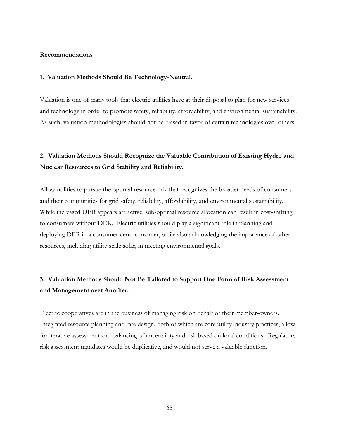#### **Recommendations**

#### **1. Valuation Methods Should Be Technology-Neutral.**

Valuation is one of many tools that electric utilities have at their disposal to plan for new services and technology in order to promote safety, reliability, affordability, and environmental sustainability. As such, valuation methodologies should not be biased in favor of certain technologies over others.

### **2. Valuation Methods Should Recognize the Valuable Contribution of Existing Hydro and Nuclear Resources to Grid Stability and Reliability.**

Allow utilities to pursue the optimal resource mix that recognizes the broader needs of consumers and their communities for grid safety, reliability, affordability, and environmental sustainability. While increased DER appears attractive, sub-optimal resource allocation can result in cost-shifting to consumers without DER. Electric utilities should play a significant role in planning and deploying DER in a consumer-centric manner, while also acknowledging the importance of other resources, including utility-scale solar, in meeting environmental goals.

### **3. Valuation Methods Should Not Be Tailored to Support One Form of Risk Assessment and Management over Another.**

Electric cooperatives are in the business of managing risk on behalf of their member-owners. Integrated resource planning and rate design, both of which are core utility industry practices, allow for iterative assessment and balancing of uncertainty and risk based on local conditions. Regulatory risk assessment mandates would be duplicative, and would not serve a valuable function.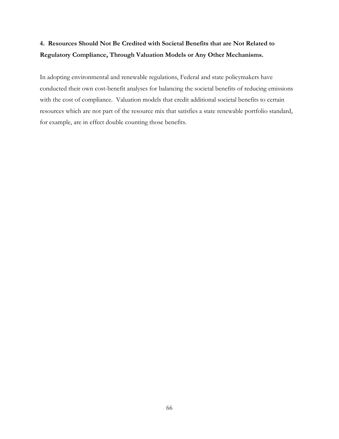## **4. Resources Should Not Be Credited with Societal Benefits that are Not Related to Regulatory Compliance, Through Valuation Models or Any Other Mechanisms.**

In adopting environmental and renewable regulations, Federal and state policymakers have conducted their own cost-benefit analyses for balancing the societal benefits of reducing emissions with the cost of compliance. Valuation models that credit additional societal benefits to certain resources which are not part of the resource mix that satisfies a state renewable portfolio standard, for example, are in effect double counting those benefits.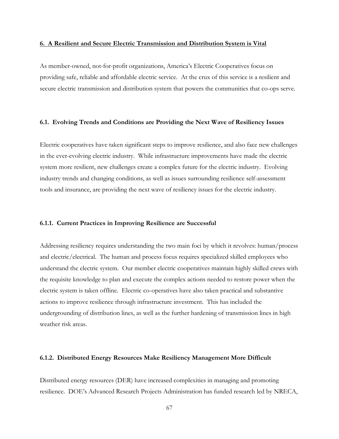#### **6. A Resilient and Secure Electric Transmission and Distribution System is Vital**

As member-owned, not-for-profit organizations, America's Electric Cooperatives focus on providing safe, reliable and affordable electric service. At the crux of this service is a resilient and secure electric transmission and distribution system that powers the communities that co-ops serve.

### **6.1. Evolving Trends and Conditions are Providing the Next Wave of Resiliency Issues**

Electric cooperatives have taken significant steps to improve resilience, and also face new challenges in the ever-evolving electric industry. While infrastructure improvements have made the electric system more resilient, new challenges create a complex future for the electric industry. Evolving industry trends and changing conditions, as well as issues surrounding resilience self-assessment tools and insurance, are providing the next wave of resiliency issues for the electric industry.

#### **6.1.1. Current Practices in Improving Resilience are Successful**

Addressing resiliency requires understanding the two main foci by which it revolves: human/process and electric/electrical. The human and process focus requires specialized skilled employees who understand the electric system. Our member electric cooperatives maintain highly skilled crews with the requisite knowledge to plan and execute the complex actions needed to restore power when the electric system is taken offline. Electric co-operatives have also taken practical and substantive actions to improve resilience through infrastructure investment. This has included the undergrounding of distribution lines, as well as the further hardening of transmission lines in high weather risk areas.

#### **6.1.2. Distributed Energy Resources Make Resiliency Management More Difficult**

Distributed energy resources (DER) have increased complexities in managing and promoting resilience. DOE's Advanced Research Projects Administration has funded research led by NRECA,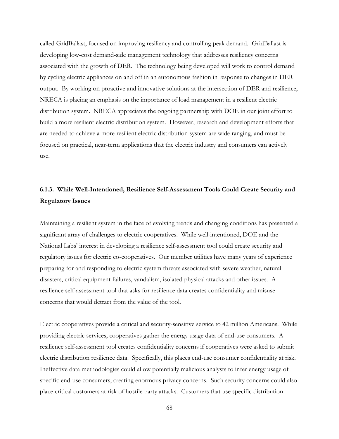called GridBallast, focused on improving resiliency and controlling peak demand. GridBallast is developing low-cost demand-side management technology that addresses resiliency concerns associated with the growth of DER. The technology being developed will work to control demand by cycling electric appliances on and off in an autonomous fashion in response to changes in DER output. By working on proactive and innovative solutions at the intersection of DER and resilience, NRECA is placing an emphasis on the importance of load management in a resilient electric distribution system. NRECA appreciates the ongoing partnership with DOE in our joint effort to build a more resilient electric distribution system. However, research and development efforts that are needed to achieve a more resilient electric distribution system are wide ranging, and must be focused on practical, near-term applications that the electric industry and consumers can actively use.

### **6.1.3. While Well-Intentioned, Resilience Self-Assessment Tools Could Create Security and Regulatory Issues**

Maintaining a resilient system in the face of evolving trends and changing conditions has presented a significant array of challenges to electric cooperatives. While well-intentioned, DOE and the National Labs' interest in developing a resilience self-assessment tool could create security and regulatory issues for electric co-cooperatives. Our member utilities have many years of experience preparing for and responding to electric system threats associated with severe weather, natural disasters, critical equipment failures, vandalism, isolated physical attacks and other issues. A resilience self-assessment tool that asks for resilience data creates confidentiality and misuse concerns that would detract from the value of the tool.

Electric cooperatives provide a critical and security-sensitive service to 42 million Americans. While providing electric services, cooperatives gather the energy usage data of end-use consumers. A resilience self-assessment tool creates confidentiality concerns if cooperatives were asked to submit electric distribution resilience data. Specifically, this places end-use consumer confidentiality at risk. Ineffective data methodologies could allow potentially malicious analysts to infer energy usage of specific end-use consumers, creating enormous privacy concerns. Such security concerns could also place critical customers at risk of hostile party attacks. Customers that use specific distribution

68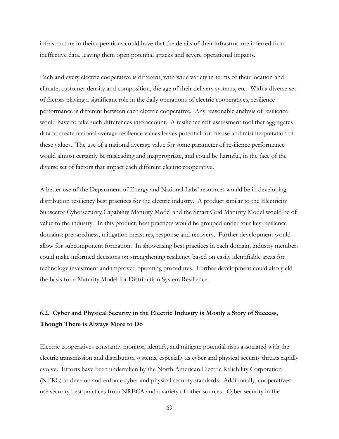infrastructure in their operations could have that the details of their infrastructure inferred from ineffective data, leaving them open potential attacks and severe operational impacts.

Each and every electric cooperative is different, with wide variety in terms of their location and climate, customer density and composition, the age of their delivery systems, etc. With a diverse set of factors playing a significant role in the daily operations of electric cooperatives, resilience performance is different between each electric cooperative. Any reasonable analysis of resilience would have to take such differences into account. A resilience self-assessment tool that aggregates data to create national average resilience values leaves potential for misuse and misinterpretation of these values. The use of a national average value for some parameter of resilience performance would almost certainly be misleading and inappropriate, and could be harmful, in the face of the diverse set of factors that impact each different electric cooperative.

A better use of the Department of Energy and National Labs' resources would be in developing distribution resiliency best practices for the electric industry. A product similar to the Electricity Subsector Cybersecurity Capability Maturity Model and the Smart Grid Maturity Model would be of value to the industry. In this product, best practices would be grouped under four key resilience domains: preparedness, mitigation measures, response and recovery. Further development would allow for subcomponent formation. In showcasing best practices in each domain, industry members could make informed decisions on strengthening resiliency based on easily identifiable areas for technology investment and improved operating procedures. Further development could also yield the basis for a Maturity Model for Distribution System Resilience.

## **6.2. Cyber and Physical Security in the Electric Industry is Mostly a Story of Success, Though There is Always More to Do**

Electric cooperatives constantly monitor, identify, and mitigate potential risks associated with the electric transmission and distribution systems, especially as cyber and physical security threats rapidly evolve. Efforts have been undertaken by the North American Electric Reliability Corporation (NERC) to develop and enforce cyber and physical security standards. Additionally, cooperatives use security best practices from NRECA and a variety of other sources. Cyber security in the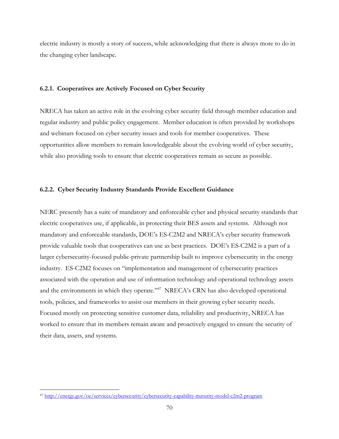electric industry is mostly a story of success, while acknowledging that there is always more to do in the changing cyber landscape.

#### **6.2.1. Cooperatives are Actively Focused on Cyber Security**

NRECA has taken an active role in the evolving cyber security field through member education and regular industry and public policy engagement. Member education is often provided by workshops and webinars focused on cyber security issues and tools for member cooperatives. These opportunities allow members to remain knowledgeable about the evolving world of cyber security, while also providing tools to ensure that electric cooperatives remain as secure as possible.

#### **6.2.2. Cyber Security Industry Standards Provide Excellent Guidance**

NERC presently has a suite of mandatory and enforceable cyber and physical security standards that electric cooperatives use, if applicable, in protecting their BES assets and systems. Although not mandatory and enforceable standards, DOE's ES-C2M2 and NRECA's cyber security framework provide valuable tools that cooperatives can use as best practices. DOE's ES-C2M2 is a part of a larger cybersecurity-focused public-private partnership built to improve cybersecurity in the energy industry. ES-C2M2 focuses on "implementation and management of cybersecurity practices associated with the operation and use of information technology and operational technology assets and the environments in which they operate." $^{347}$  NRECA's CRN has also developed operational tools, policies, and frameworks to assist our members in their growing cyber security needs. Focused mostly on protecting sensitive customer data, reliability and productivity, NRECA has worked to ensure that its members remain aware and proactively engaged to ensure the security of their data, assets, and systems.

<sup>47</sup> <http://energy.gov/oe/services/cybersecurity/cybersecurity-capability-maturity-model-c2m2-program>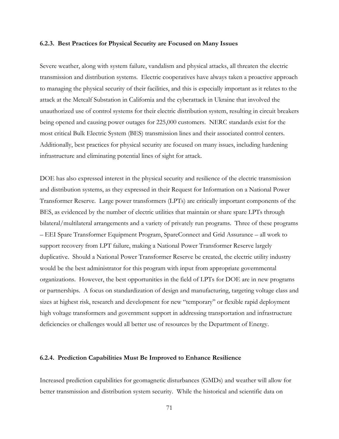#### **6.2.3. Best Practices for Physical Security are Focused on Many Issues**

Severe weather, along with system failure, vandalism and physical attacks, all threaten the electric transmission and distribution systems. Electric cooperatives have always taken a proactive approach to managing the physical security of their facilities, and this is especially important as it relates to the attack at the Metcalf Substation in California and the cyberattack in Ukraine that involved the unauthorized use of control systems for their electric distribution system, resulting in circuit breakers being opened and causing power outages for 225,000 customers. NERC standards exist for the most critical Bulk Electric System (BES) transmission lines and their associated control centers. Additionally, best practices for physical security are focused on many issues, including hardening infrastructure and eliminating potential lines of sight for attack.

DOE has also expressed interest in the physical security and resilience of the electric transmission and distribution systems, as they expressed in their Request for Information on a National Power Transformer Reserve. Large power transformers (LPTs) are critically important components of the BES, as evidenced by the number of electric utilities that maintain or share spare LPTs through bilateral/multilateral arrangements and a variety of privately run programs. Three of these programs – EEI Spare Transformer Equipment Program, SpareConnect and Grid Assurance – all work to support recovery from LPT failure, making a National Power Transformer Reserve largely duplicative. Should a National Power Transformer Reserve be created, the electric utility industry would be the best administrator for this program with input from appropriate governmental organizations. However, the best opportunities in the field of LPTs for DOE are in new programs or partnerships. A focus on standardization of design and manufacturing, targeting voltage class and sizes at highest risk, research and development for new "temporary" or flexible rapid deployment high voltage transformers and government support in addressing transportation and infrastructure deficiencies or challenges would all better use of resources by the Department of Energy.

#### **6.2.4. Prediction Capabilities Must Be Improved to Enhance Resilience**

Increased prediction capabilities for geomagnetic disturbances (GMDs) and weather will allow for better transmission and distribution system security. While the historical and scientific data on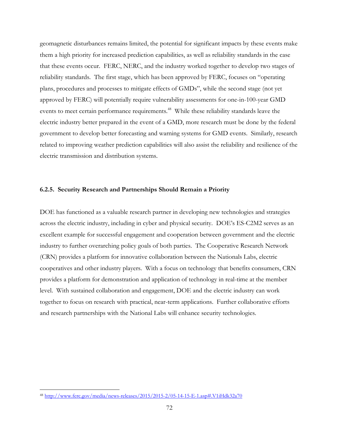geomagnetic disturbances remains limited, the potential for significant impacts by these events make them a high priority for increased prediction capabilities, as well as reliability standards in the case that these events occur. FERC, NERC, and the industry worked together to develop two stages of reliability standards. The first stage, which has been approved by FERC, focuses on "operating plans, procedures and processes to mitigate effects of GMDs", while the second stage (not yet approved by FERC) will potentially require vulnerability assessments for one-in-100-year GMD events to meet certain performance requirements.<sup>48</sup> While these reliability standards leave the electric industry better prepared in the event of a GMD, more research must be done by the federal government to develop better forecasting and warning systems for GMD events. Similarly, research related to improving weather prediction capabilities will also assist the reliability and resilience of the electric transmission and distribution systems.

#### **6.2.5. Security Research and Partnerships Should Remain a Priority**

DOE has functioned as a valuable research partner in developing new technologies and strategies across the electric industry, including in cyber and physical security. DOE's ES-C2M2 serves as an excellent example for successful engagement and cooperation between government and the electric industry to further overarching policy goals of both parties. The Cooperative Research Network (CRN) provides a platform for innovative collaboration between the Nationals Labs, electric cooperatives and other industry players. With a focus on technology that benefits consumers, CRN provides a platform for demonstration and application of technology in real-time at the member level. With sustained collaboration and engagement, DOE and the electric industry can work together to focus on research with practical, near-term applications. Further collaborative efforts and research partnerships with the National Labs will enhance security technologies.

 $\overline{a}$ <sup>48</sup> <http://www.ferc.gov/media/news-releases/2015/2015-2/05-14-15-E-1.asp#.V1iHdk32a70>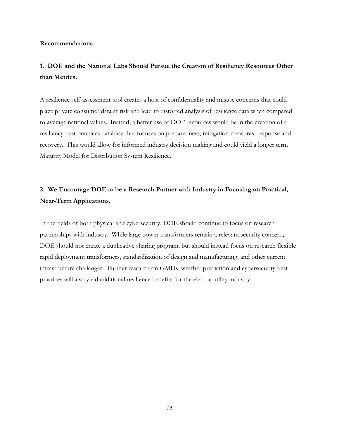#### **Recommendations**

#### **1. DOE and the National Labs Should Pursue the Creation of Resiliency Resources Other than Metrics.**

A resilience self-assessment tool creates a host of confidentiality and misuse concerns that could place private consumer data at risk and lead to distorted analysis of resilience data when compared to average national values. Instead, a better use of DOE resources would be in the creation of a resiliency best practices database that focuses on preparedness, mitigation measures, response and recovery. This would allow for informed industry decision making and could yield a longer term Maturity Model for Distribution System Resilience.

#### **2. We Encourage DOE to be a Research Partner with Industry in Focusing on Practical, Near-Term Applications.**

In the fields of both physical and cybersecurity, DOE should continue to focus on research partnerships with industry. While large power transformers remain a relevant security concern, DOE should not create a duplicative sharing program, but should instead focus on research flexible rapid deployment transformers, standardization of design and manufacturing, and other current infrastructure challenges. Further research on GMDs, weather prediction and cybersecurity best practices will also yield additional resilience benefits for the electric utility industry.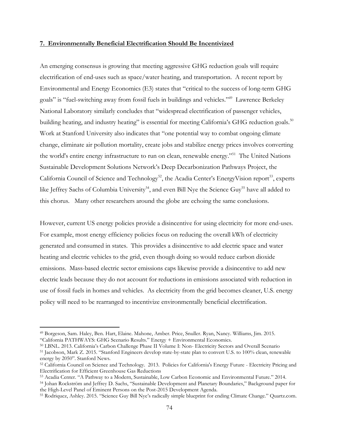#### **7. Environmentally Beneficial Electrification Should Be Incentivized**

An emerging consensus is growing that meeting aggressive GHG reduction goals will require electrification of end-uses such as space/water heating, and transportation. A recent report by Environmental and Energy Economics (E3) states that "critical to the success of long-term GHG goals" is "fuel-switching away from fossil fuels in buildings and vehicles."<sup>49</sup> Lawrence Berkeley National Laboratory similarly concludes that "widespread electrification of passenger vehicles, building heating, and industry heating" is essential for meeting California's GHG reduction goals.<sup>50</sup> Work at Stanford University also indicates that "one potential way to combat ongoing climate change, eliminate air pollution mortality, create jobs and stabilize energy prices involves converting the world's entire energy infrastructure to run on clean, renewable energy."<sup>51</sup> The United Nations Sustainable Development Solutions Network's Deep Decarbonization Pathways Project, the California Council of Science and Technology<sup>52</sup>, the Acadia Center's EnergyVision report<sup>53</sup>, experts like Jeffrey Sachs of Columbia University<sup>54</sup>, and even Bill Nye the Science Guy<sup>55</sup> have all added to this chorus. Many other researchers around the globe are echoing the same conclusions.

However, current US energy policies provide a disincentive for using electricity for more end-uses. For example, most energy efficiency policies focus on reducing the overall kWh of electricity generated and consumed in states. This provides a disincentive to add electric space and water heating and electric vehicles to the grid, even though doing so would reduce carbon dioxide emissions. Mass-based electric sector emissions caps likewise provide a disincentive to add new electric leads because they do not account for reductions in emissions associated with reduction in use of fossil fuels in homes and vehicles. As electricity from the grid becomes cleaner, U.S. energy policy will need to be rearranged to incentivize environmentally beneficial electrification.

 $\overline{a}$ 

<sup>49</sup> Borgeson, Sam. Haley, Ben. Hart, Elaine. Mahone, Amber. Price, Snuller. Ryan, Nancy. Williams, Jim. 2015. "California PATHWAYS: GHG Scenario Results." Energy + Environmental Economics.

<sup>50</sup> LBNL. 2013. California's Carbon Challenge Phase II Volume I: Non- Electricity Sectors and Overall Scenario

<sup>51</sup> Jacobson, Mark Z. 2015. "Stanford Engineers develop state-by-state plan to convert U.S. to 100% clean, renewable energy by 2050". Stanford News.

<sup>52</sup> California Council on Science and Technology. 2013. Policies for California's Energy Future - Electricity Pricing and Electrification for Efficient Greenhouse Gas Reductions

<sup>53</sup> Acadia Center. "A Pathway to a Modern, Sustainable, Low Carbon Economic and Environmental Future." 2014.

<sup>54</sup> Johan Rockström and Jeffrey D. Sachs, "Sustainable Development and Planetary Boundaries," Background paper for the High-Level Panel of Eminent Persons on the Post-2015 Development Agenda.

<sup>55</sup> Rodriquez, Ashley. 2015. "Science Guy Bill Nye's radically simple blueprint for ending Climate Change." Quartz.com.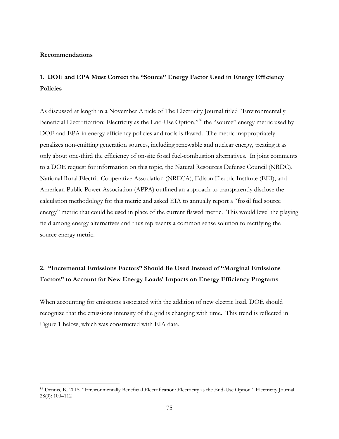#### **Recommendations**

 $\overline{a}$ 

#### **1. DOE and EPA Must Correct the "Source" Energy Factor Used in Energy Efficiency Policies**

As discussed at length in a November Article of The Electricity Journal titled "Environmentally Beneficial Electrification: Electricity as the End-Use Option,"<sup>56</sup> the "source" energy metric used by DOE and EPA in energy efficiency policies and tools is flawed. The metric inappropriately penalizes non-emitting generation sources, including renewable and nuclear energy, treating it as only about one-third the efficiency of on-site fossil fuel-combustion alternatives. In joint comments to a DOE request for information on this topic, the Natural Resources Defense Council (NRDC), National Rural Electric Cooperative Association (NRECA), Edison Electric Institute (EEI), and American Public Power Association (APPA) outlined an approach to transparently disclose the calculation methodology for this metric and asked EIA to annually report a "fossil fuel source energy" metric that could be used in place of the current flawed metric. This would level the playing field among energy alternatives and thus represents a common sense solution to rectifying the source energy metric.

#### **2. "Incremental Emissions Factors" Should Be Used Instead of "Marginal Emissions Factors" to Account for New Energy Loads' Impacts on Energy Efficiency Programs**

When accounting for emissions associated with the addition of new electric load, DOE should recognize that the emissions intensity of the grid is changing with time. This trend is reflected in Figure 1 below, which was constructed with EIA data.

<sup>56</sup> Dennis, K. 2015. "Environmentally Beneficial Electrification: Electricity as the End-Use Option." Electricity Journal 28(9): 100–112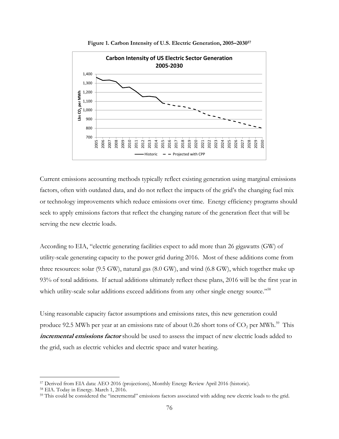

**Figure 1. Carbon Intensity of U.S. Electric Generation, 2005–2030<sup>57</sup>**

Current emissions accounting methods typically reflect existing generation using marginal emissions factors, often with outdated data, and do not reflect the impacts of the grid's the changing fuel mix or technology improvements which reduce emissions over time. Energy efficiency programs should seek to apply emissions factors that reflect the changing nature of the generation fleet that will be serving the new electric loads.

According to EIA, "electric generating facilities expect to add more than 26 gigawatts (GW) of utility-scale generating capacity to the power grid during 2016. Most of these additions come from three resources: solar (9.5 GW), natural gas (8.0 GW), and wind (6.8 GW), which together make up 93% of total additions. If actual additions ultimately reflect these plans, 2016 will be the first year in which utility-scale solar additions exceed additions from any other single energy source."<sup>58</sup>

Using reasonable capacity factor assumptions and emissions rates, this new generation could produce 92.5 MWh per year at an emissions rate of about 0.26 short tons of  $\mathrm{CO}_2$  per MWh.<sup>59</sup> This **incremental emissions factor** should be used to assess the impact of new electric loads added to the grid, such as electric vehicles and electric space and water heating.

 $\overline{a}$ 

<sup>57</sup> Derived from EIA data: AEO 2016 (projections), Monthly Energy Review April 2016 (historic).

<sup>58</sup> EIA. Today in Energy. March 1, 2016.

<sup>59</sup> This could be considered the "incremental" emissions factors associated with adding new electric loads to the grid.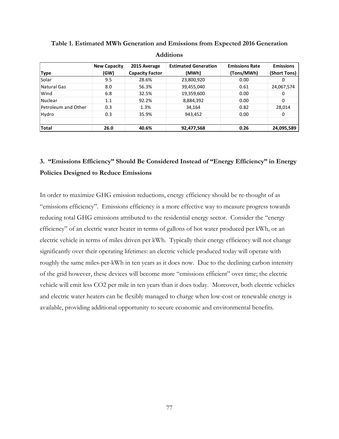| <b>Type</b>         | <b>New Capacity</b><br>(GW) | 2015 Average<br><b>Capacity Factor</b> | <b>Estimated Generation</b><br>(MWh) | <b>Emissions Rate</b><br>(Tons/MWh) | <b>Emissions</b><br>(Short Tons) |
|---------------------|-----------------------------|----------------------------------------|--------------------------------------|-------------------------------------|----------------------------------|
| Solar               | 9.5                         | 28.6%                                  | 23,800,920                           | 0.00                                | 0                                |
| Natural Gas         | 8.0                         | 56.3%                                  | 39,455,040                           | 0.61                                | 24,067,574                       |
| Wind                | 6.8                         | 32.5%                                  | 19,359,600                           | 0.00                                | 0                                |
| Nuclear             | 1.1                         | 92.2%                                  | 8,884,392                            | 0.00                                | 0                                |
| Petroleum and Other | 0.3                         | 1.3%                                   | 34,164                               | 0.82                                | 28,014                           |
| Hydro               | 0.3                         | 35.9%                                  | 943,452                              | 0.00                                | 0                                |
| <b>Total</b>        | 26.0                        | 40.6%                                  | 92,477,568                           | 0.26                                | 24,095,589                       |

**Table 1. Estimated MWh Generation and Emissions from Expected 2016 Generation Additions**

# **3. "Emissions Efficiency" Should Be Considered Instead of "Energy Efficiency" in Energy**

# **Policies Designed to Reduce Emissions**

In order to maximize GHG emission reductions, energy efficiency should be re-thought of as "emissions efficiency". Emissions efficiency is a more effective way to measure progress towards reducing total GHG emissions attributed to the residential energy sector. Consider the "energy efficiency" of an electric water heater in terms of gallons of hot water produced per kWh, or an electric vehicle in terms of miles driven per kWh. Typically their energy efficiency will not change significantly over their operating lifetimes: an electric vehicle produced today will operate with roughly the same miles-per-kWh in ten years as it does now. Due to the declining carbon intensity of the grid however, these devices will become more "emissions efficient" over time; the electric vehicle will emit less CO2 per mile in ten years than it does today. Moreover, both electric vehicles and electric water heaters can be flexibly managed to charge when low-cost or renewable energy is available, providing additional opportunity to secure economic and environmental benefits.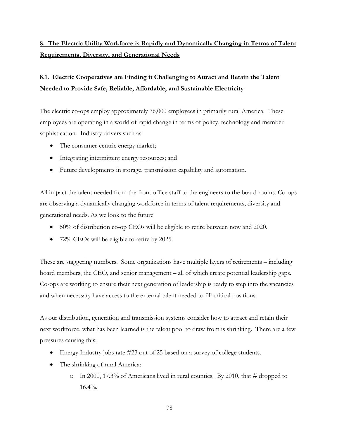# **8. The Electric Utility Workforce is Rapidly and Dynamically Changing in Terms of Talent Requirements, Diversity, and Generational Needs**

## **8.1. Electric Cooperatives are Finding it Challenging to Attract and Retain the Talent Needed to Provide Safe, Reliable, Affordable, and Sustainable Electricity**

The electric co-ops employ approximately 76,000 employees in primarily rural America. These employees are operating in a world of rapid change in terms of policy, technology and member sophistication. Industry drivers such as:

- The consumer-centric energy market;
- Integrating intermittent energy resources; and
- Future developments in storage, transmission capability and automation.

All impact the talent needed from the front office staff to the engineers to the board rooms. Co-ops are observing a dynamically changing workforce in terms of talent requirements, diversity and generational needs. As we look to the future:

- 50% of distribution co-op CEOs will be eligible to retire between now and 2020.
- 72% CEOs will be eligible to retire by 2025.

These are staggering numbers. Some organizations have multiple layers of retirements – including board members, the CEO, and senior management – all of which create potential leadership gaps. Co-ops are working to ensure their next generation of leadership is ready to step into the vacancies and when necessary have access to the external talent needed to fill critical positions.

As our distribution, generation and transmission systems consider how to attract and retain their next workforce, what has been learned is the talent pool to draw from is shrinking. There are a few pressures causing this:

- Energy Industry jobs rate #23 out of 25 based on a survey of college students.
- The shrinking of rural America:
	- $\circ$  In 2000, 17.3% of Americans lived in rural counties. By 2010, that # dropped to 16.4%.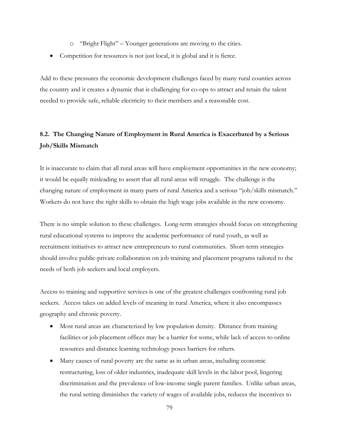- o "Bright Flight" Younger generations are moving to the cities.
- Competition for resources is not just local, it is global and it is fierce.

Add to these pressures the economic development challenges faced by many rural counties across the country and it creates a dynamic that is challenging for co-ops to attract and retain the talent needed to provide safe, reliable electricity to their members and a reasonable cost.

#### **8.2. The Changing Nature of Employment in Rural America is Exacerbated by a Serious Job/Skills Mismatch**

It is inaccurate to claim that all rural areas will have employment opportunities in the new economy; it would be equally misleading to assert that all rural areas will struggle. The challenge is the changing nature of employment in many parts of rural America and a serious "job/skills mismatch." Workers do not have the right skills to obtain the high wage jobs available in the new economy.

There is no simple solution to these challenges. Long-term strategies should focus on strengthening rural educational systems to improve the academic performance of rural youth, as well as recruitment initiatives to attract new entrepreneurs to rural communities. Short-term strategies should involve public-private collaboration on job training and placement programs tailored to the needs of both job seekers and local employers.

Access to training and supportive services is one of the greatest challenges confronting rural job seekers. Access takes on added levels of meaning in rural America, where it also encompasses geography and chronic poverty.

- Most rural areas are characterized by low population density. Distance from training facilities or job placement offices may be a barrier for some, while lack of access to online resources and distance learning technology poses barriers for others.
- Many causes of rural poverty are the same as in urban areas, including economic restructuring, loss of older industries, inadequate skill levels in the labor pool, lingering discrimination and the prevalence of low-income single parent families. Unlike urban areas, the rural setting diminishes the variety of wages of available jobs, reduces the incentives to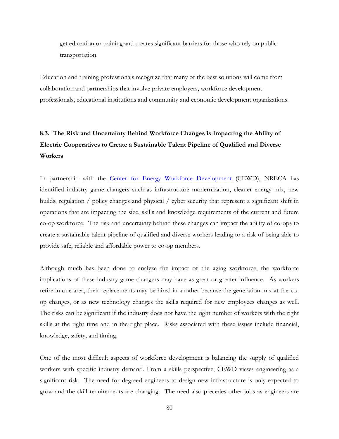get education or training and creates significant barriers for those who rely on public transportation.

Education and training professionals recognize that many of the best solutions will come from collaboration and partnerships that involve private employers, workforce development professionals, educational institutions and community and economic development organizations.

## **8.3. The Risk and Uncertainty Behind Workforce Changes is Impacting the Ability of Electric Cooperatives to Create a Sustainable Talent Pipeline of Qualified and Diverse Workers**

In partnership with the [Center for Energy Workforce Development](http://www.cewd.org/) (CEWD), NRECA has identified industry game changers such as infrastructure modernization, cleaner energy mix, new builds, regulation / policy changes and physical / cyber security that represent a significant shift in operations that are impacting the size, skills and knowledge requirements of the current and future co-op workforce. The risk and uncertainty behind these changes can impact the ability of co-ops to create a sustainable talent pipeline of qualified and diverse workers leading to a risk of being able to provide safe, reliable and affordable power to co-op members.

Although much has been done to analyze the impact of the aging workforce, the workforce implications of these industry game changers may have as great or greater influence. As workers retire in one area, their replacements may be hired in another because the generation mix at the coop changes, or as new technology changes the skills required for new employees changes as well. The risks can be significant if the industry does not have the right number of workers with the right skills at the right time and in the right place. Risks associated with these issues include financial, knowledge, safety, and timing.

One of the most difficult aspects of workforce development is balancing the supply of qualified workers with specific industry demand. From a skills perspective, CEWD views engineering as a significant risk. The need for degreed engineers to design new infrastructure is only expected to grow and the skill requirements are changing. The need also precedes other jobs as engineers are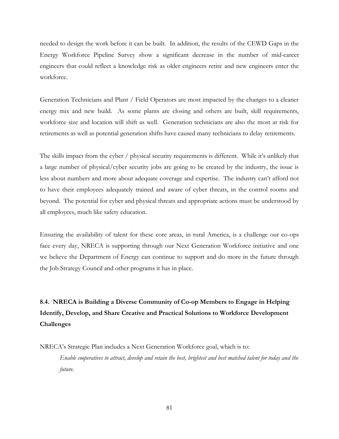needed to design the work before it can be built. In addition, the results of the CEWD Gaps in the Energy Workforce Pipeline Survey show a significant decrease in the number of mid-career engineers that could reflect a knowledge risk as older engineers retire and new engineers enter the workforce.

Generation Technicians and Plant / Field Operators are most impacted by the changes to a cleaner energy mix and new build. As some plants are closing and others are built, skill requirements, workforce size and location will shift as well. Generation technicians are also the most at risk for retirements as well as potential generation shifts have caused many technicians to delay retirements.

The skills impact from the cyber / physical security requirements is different. While it's unlikely that a large number of physical/cyber security jobs are going to be created by the industry, the issue is less about numbers and more about adequate coverage and expertise. The industry can't afford not to have their employees adequately trained and aware of cyber threats, in the control rooms and beyond. The potential for cyber and physical threats and appropriate actions must be understood by all employees, much like safety education.

Ensuring the availability of talent for these core areas, in rural America, is a challenge our co-ops face every day, NRECA is supporting through our Next Generation Workforce initiative and one we believe the Department of Energy can continue to support and do more in the future through the Job Strategy Council and other programs it has in place.

# **8.4. NRECA is Building a Diverse Community of Co-op Members to Engage in Helping Identify, Develop, and Share Creative and Practical Solutions to Workforce Development Challenges**

NRECA's Strategic Plan includes a Next Generation Workforce goal, which is to:

*Enable cooperatives to attract, develop and retain the best, brightest and best matched talent for today and the future.*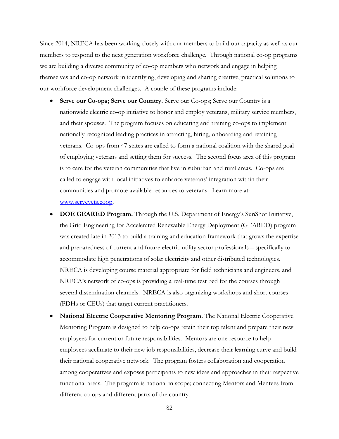Since 2014, NRECA has been working closely with our members to build our capacity as well as our members to respond to the next generation workforce challenge. Through national co-op programs we are building a diverse community of co-op members who network and engage in helping themselves and co-op network in identifying, developing and sharing creative, practical solutions to our workforce development challenges. A couple of these programs include:

- **Serve our Co-ops; Serve our Country.** Serve our Co-ops; Serve our Country is a nationwide electric co-op initiative to honor and employ veterans, military service members, and their spouses. The program focuses on educating and training co-ops to implement nationally recognized leading practices in attracting, hiring, onboarding and retaining veterans. Co-ops from 47 states are called to form a national coalition with the shared goal of employing veterans and setting them for success. The second focus area of this program is to care for the veteran communities that live in suburban and rural areas. Co-ops are called to engage with local initiatives to enhance veterans' integration within their communities and promote available resources to veterans. Learn more at: [www.servevets.coop.](http://www.servevets.coop/)
- **DOE GEARED Program.** Through the U.S. Department of Energy's SunShot Initiative, the Grid Engineering for Accelerated Renewable Energy Deployment (GEARED) program was created late in 2013 to build a training and education framework that grows the expertise and preparedness of current and future electric utility sector professionals – specifically to accommodate high penetrations of solar electricity and other distributed technologies. NRECA is developing course material appropriate for field technicians and engineers, and NRECA's network of co-ops is providing a real-time test bed for the courses through several dissemination channels. NRECA is also organizing workshops and short courses (PDHs or CEUs) that target current practitioners.
- **National Electric Cooperative Mentoring Program.** The National Electric Cooperative Mentoring Program is designed to help co-ops retain their top talent and prepare their new employees for current or future responsibilities. Mentors are one resource to help employees acclimate to their new job responsibilities, decrease their learning curve and build their national cooperative network. The program fosters collaboration and cooperation among cooperatives and exposes participants to new ideas and approaches in their respective functional areas. The program is national in scope; connecting Mentors and Mentees from different co-ops and different parts of the country.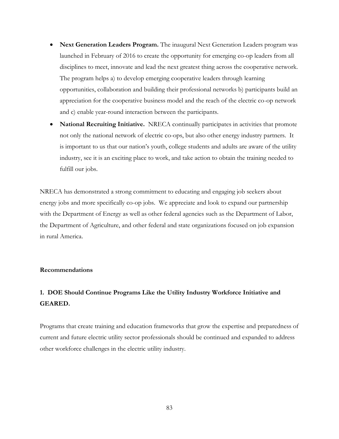- **Next Generation Leaders Program.** The inaugural Next Generation Leaders program was launched in February of 2016 to create the opportunity for emerging co-op leaders from all disciplines to meet, innovate and lead the next greatest thing across the cooperative network. The program helps a) to develop emerging cooperative leaders through learning opportunities, collaboration and building their professional networks b) participants build an appreciation for the cooperative business model and the reach of the electric co-op network and c) enable year-round interaction between the participants.
- **National Recruiting Initiative.** NRECA continually participates in activities that promote not only the national network of electric co-ops, but also other energy industry partners. It is important to us that our nation's youth, college students and adults are aware of the utility industry, see it is an exciting place to work, and take action to obtain the training needed to fulfill our jobs.

NRECA has demonstrated a strong commitment to educating and engaging job seekers about energy jobs and more specifically co-op jobs. We appreciate and look to expand our partnership with the Department of Energy as well as other federal agencies such as the Department of Labor, the Department of Agriculture, and other federal and state organizations focused on job expansion in rural America.

#### **Recommendations**

#### **1. DOE Should Continue Programs Like the Utility Industry Workforce Initiative and GEARED.**

Programs that create training and education frameworks that grow the expertise and preparedness of current and future electric utility sector professionals should be continued and expanded to address other workforce challenges in the electric utility industry.